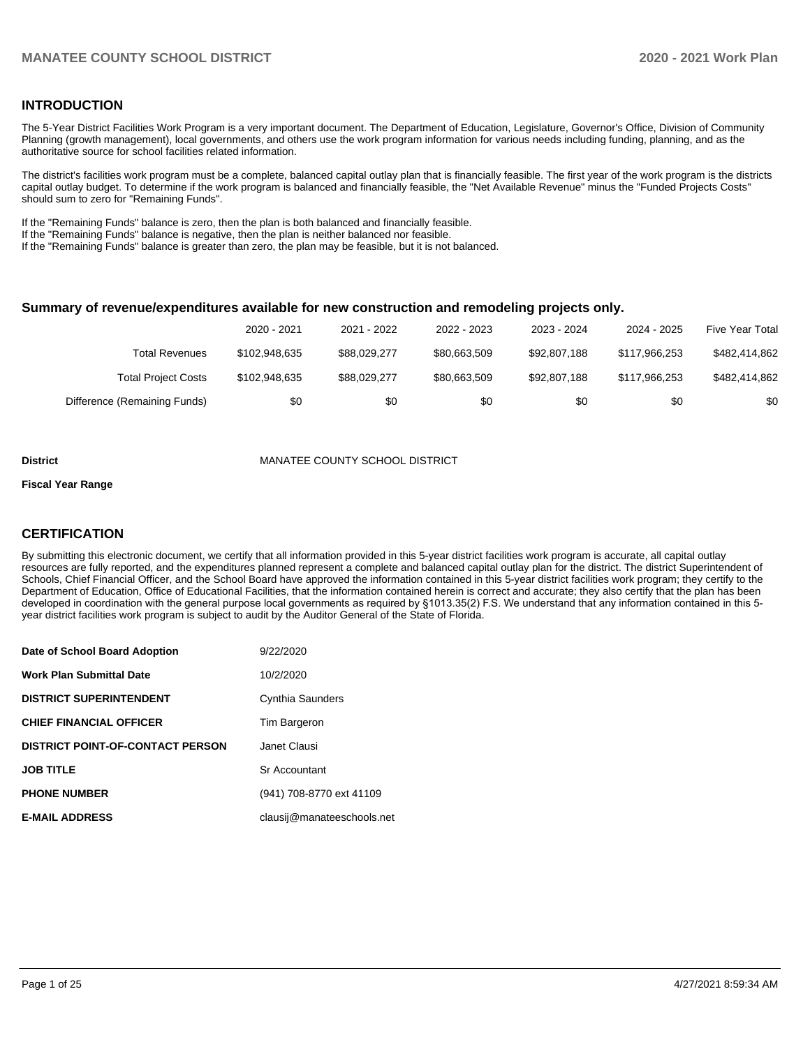## **INTRODUCTION**

The 5-Year District Facilities Work Program is a very important document. The Department of Education, Legislature, Governor's Office, Division of Community Planning (growth management), local governments, and others use the work program information for various needs including funding, planning, and as the authoritative source for school facilities related information.

The district's facilities work program must be a complete, balanced capital outlay plan that is financially feasible. The first year of the work program is the districts capital outlay budget. To determine if the work program is balanced and financially feasible, the "Net Available Revenue" minus the "Funded Projects Costs" should sum to zero for "Remaining Funds".

If the "Remaining Funds" balance is zero, then the plan is both balanced and financially feasible.

If the "Remaining Funds" balance is negative, then the plan is neither balanced nor feasible.

If the "Remaining Funds" balance is greater than zero, the plan may be feasible, but it is not balanced.

#### **Summary of revenue/expenditures available for new construction and remodeling projects only.**

|                              | 2020 - 2021   | 2021 - 2022  | 2022 - 2023  | 2023 - 2024  | 2024 - 2025   | Five Year Total |
|------------------------------|---------------|--------------|--------------|--------------|---------------|-----------------|
| Total Revenues               | \$102,948,635 | \$88.029.277 | \$80.663.509 | \$92,807,188 | \$117,966,253 | \$482,414,862   |
| <b>Total Project Costs</b>   | \$102,948,635 | \$88.029.277 | \$80.663.509 | \$92.807.188 | \$117,966,253 | \$482.414.862   |
| Difference (Remaining Funds) | \$0           | \$0          | \$0          | \$0          | \$0           | \$0             |

#### **District** MANATEE COUNTY SCHOOL DISTRICT

#### **Fiscal Year Range**

## **CERTIFICATION**

By submitting this electronic document, we certify that all information provided in this 5-year district facilities work program is accurate, all capital outlay resources are fully reported, and the expenditures planned represent a complete and balanced capital outlay plan for the district. The district Superintendent of Schools, Chief Financial Officer, and the School Board have approved the information contained in this 5-year district facilities work program; they certify to the Department of Education, Office of Educational Facilities, that the information contained herein is correct and accurate; they also certify that the plan has been developed in coordination with the general purpose local governments as required by §1013.35(2) F.S. We understand that any information contained in this 5 year district facilities work program is subject to audit by the Auditor General of the State of Florida.

| Date of School Board Adoption           | 9/22/2020                  |
|-----------------------------------------|----------------------------|
| <b>Work Plan Submittal Date</b>         | 10/2/2020                  |
| <b>DISTRICT SUPERINTENDENT</b>          | Cynthia Saunders           |
| <b>CHIEF FINANCIAL OFFICER</b>          | Tim Bargeron               |
| <b>DISTRICT POINT-OF-CONTACT PERSON</b> | Janet Clausi               |
| <b>JOB TITLE</b>                        | Sr Accountant              |
| <b>PHONE NUMBER</b>                     | (941) 708-8770 ext 41109   |
| <b>E-MAIL ADDRESS</b>                   | clausii@manateeschools.net |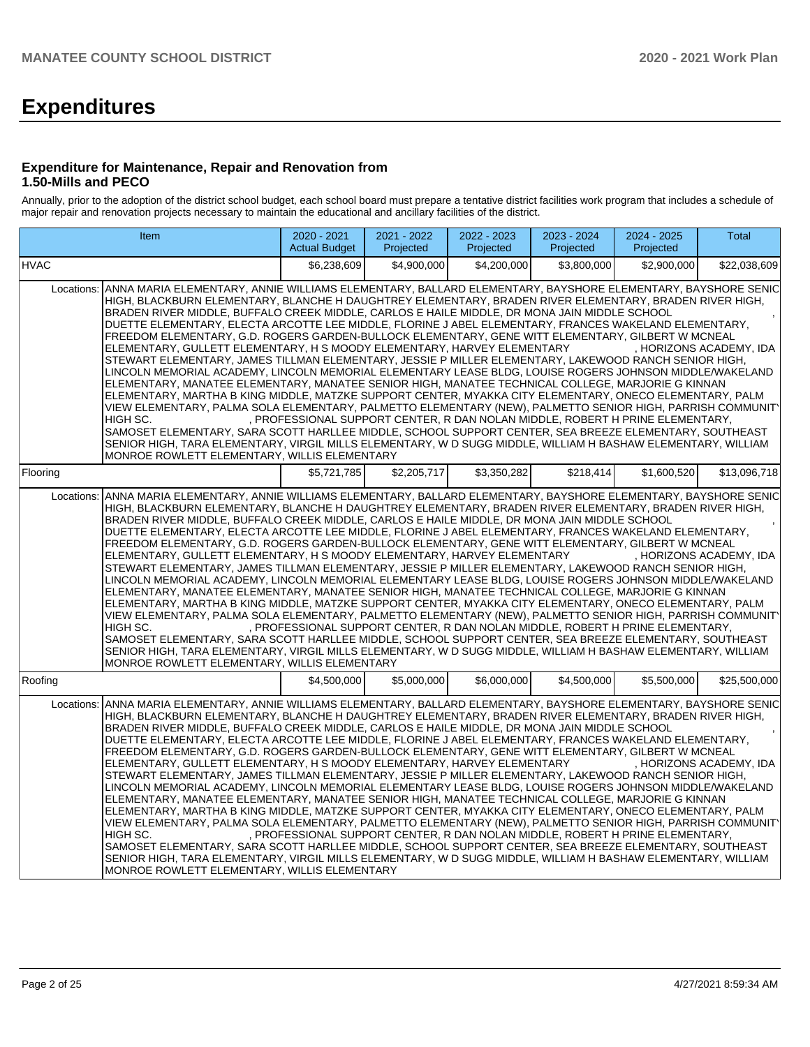# **Expenditures**

## **Expenditure for Maintenance, Repair and Renovation from 1.50-Mills and PECO**

Annually, prior to the adoption of the district school budget, each school board must prepare a tentative district facilities work program that includes a schedule of major repair and renovation projects necessary to maintain the educational and ancillary facilities of the district.

| Item                                                                                                                                                                                                                                                                                                                                                                                                                                                                                                                                                                                                                                                                                                                                                                                                                                                                                                                                                                                                                                                                                                                                                                                                                                                                                                                                                                                                                                                                                                                                                                            | 2020 - 2021<br><b>Actual Budget</b>                                           | 2021 - 2022<br>Projected | 2022 - 2023<br>Projected | 2023 - 2024<br>Projected | $2024 - 2025$<br>Projected | <b>Total</b>            |  |  |
|---------------------------------------------------------------------------------------------------------------------------------------------------------------------------------------------------------------------------------------------------------------------------------------------------------------------------------------------------------------------------------------------------------------------------------------------------------------------------------------------------------------------------------------------------------------------------------------------------------------------------------------------------------------------------------------------------------------------------------------------------------------------------------------------------------------------------------------------------------------------------------------------------------------------------------------------------------------------------------------------------------------------------------------------------------------------------------------------------------------------------------------------------------------------------------------------------------------------------------------------------------------------------------------------------------------------------------------------------------------------------------------------------------------------------------------------------------------------------------------------------------------------------------------------------------------------------------|-------------------------------------------------------------------------------|--------------------------|--------------------------|--------------------------|----------------------------|-------------------------|--|--|
| <b>HVAC</b>                                                                                                                                                                                                                                                                                                                                                                                                                                                                                                                                                                                                                                                                                                                                                                                                                                                                                                                                                                                                                                                                                                                                                                                                                                                                                                                                                                                                                                                                                                                                                                     | \$6,238,609                                                                   | \$4,900,000              | \$4,200,000              | \$3,800,000              | \$2,900,000                | \$22,038,609            |  |  |
| ANNA MARIA ELEMENTARY, ANNIE WILLIAMS ELEMENTARY, BALLARD ELEMENTARY, BAYSHORE ELEMENTARY, BAYSHORE SENIC<br>Locations:<br>HIGH, BLACKBURN ELEMENTARY, BLANCHE H DAUGHTREY ELEMENTARY, BRADEN RIVER ELEMENTARY, BRADEN RIVER HIGH,<br>BRADEN RIVER MIDDLE, BUFFALO CREEK MIDDLE, CARLOS E HAILE MIDDLE, DR MONA JAIN MIDDLE SCHOOL<br>DUETTE ELEMENTARY, ELECTA ARCOTTE LEE MIDDLE, FLORINE J ABEL ELEMENTARY, FRANCES WAKELAND ELEMENTARY,<br>FREEDOM ELEMENTARY, G.D. ROGERS GARDEN-BULLOCK ELEMENTARY, GENE WITT ELEMENTARY, GILBERT W MCNEAL<br>ELEMENTARY, GULLETT ELEMENTARY, H S MOODY ELEMENTARY, HARVEY ELEMENTARY<br>. HORIZONS ACADEMY. IDA<br>STEWART ELEMENTARY, JAMES TILLMAN ELEMENTARY, JESSIE P MILLER ELEMENTARY, LAKEWOOD RANCH SENIOR HIGH,<br>LINCOLN MEMORIAL ACADEMY, LINCOLN MEMORIAL ELEMENTARY LEASE BLDG, LOUISE ROGERS JOHNSON MIDDLE/WAKELAND<br>ELEMENTARY, MANATEE ELEMENTARY, MANATEE SENIOR HIGH, MANATEE TECHNICAL COLLEGE, MARJORIE G KINNAN<br>ELEMENTARY, MARTHA B KING MIDDLE, MATZKE SUPPORT CENTER, MYAKKA CITY ELEMENTARY, ONECO ELEMENTARY, PALM<br>VIEW ELEMENTARY, PALMA SOLA ELEMENTARY, PALMETTO ELEMENTARY (NEW), PALMETTO SENIOR HIGH, PARRISH COMMUNIT'<br>, PROFESSIONAL SUPPORT CENTER, R DAN NOLAN MIDDLE, ROBERT H PRINE ELEMENTARY,<br>HIGH SC.<br>SAMOSET ELEMENTARY, SARA SCOTT HARLLEE MIDDLE, SCHOOL SUPPORT CENTER, SEA BREEZE ELEMENTARY, SOUTHEAST<br>SENIOR HIGH, TARA ELEMENTARY, VIRGIL MILLS ELEMENTARY, W D SUGG MIDDLE, WILLIAM H BASHAW ELEMENTARY, WILLIAM<br>MONROE ROWLETT ELEMENTARY, WILLIS ELEMENTARY |                                                                               |                          |                          |                          |                            |                         |  |  |
| Flooring                                                                                                                                                                                                                                                                                                                                                                                                                                                                                                                                                                                                                                                                                                                                                                                                                                                                                                                                                                                                                                                                                                                                                                                                                                                                                                                                                                                                                                                                                                                                                                        | \$5,721,785                                                                   | \$2,205,717              | \$3,350,282              | \$218,414                | \$1,600,520                | \$13,096,718            |  |  |
| ANNA MARIA ELEMENTARY, ANNIE WILLIAMS ELEMENTARY, BALLARD ELEMENTARY, BAYSHORE ELEMENTARY, BAYSHORE SENIC<br>Locations:<br>HIGH, BLACKBURN ELEMENTARY, BLANCHE H DAUGHTREY ELEMENTARY, BRADEN RIVER ELEMENTARY, BRADEN RIVER HIGH,<br>BRADEN RIVER MIDDLE, BUFFALO CREEK MIDDLE, CARLOS E HAILE MIDDLE, DR MONA JAIN MIDDLE SCHOOL<br>DUETTE ELEMENTARY, ELECTA ARCOTTE LEE MIDDLE, FLORINE J ABEL ELEMENTARY, FRANCES WAKELAND ELEMENTARY,<br>FREEDOM ELEMENTARY, G.D. ROGERS GARDEN-BULLOCK ELEMENTARY, GENE WITT ELEMENTARY, GILBERT W MCNEAL<br>ELEMENTARY, GULLETT ELEMENTARY, H S MOODY ELEMENTARY, HARVEY ELEMENTARY<br>STEWART ELEMENTARY, JAMES TILLMAN ELEMENTARY, JESSIE P MILLER ELEMENTARY, LAKEWOOD RANCH SENIOR HIGH,<br>LINCOLN MEMORIAL ACADEMY, LINCOLN MEMORIAL ELEMENTARY LEASE BLDG, LOUISE ROGERS JOHNSON MIDDLE/WAKELAND<br>ELEMENTARY, MANATEE ELEMENTARY, MANATEE SENIOR HIGH, MANATEE TECHNICAL COLLEGE, MARJORIE G KINNAN<br>ELEMENTARY, MARTHA B KING MIDDLE, MATZKE SUPPORT CENTER, MYAKKA CITY ELEMENTARY, ONECO ELEMENTARY, PALM<br>VIEW ELEMENTARY, PALMA SOLA ELEMENTARY, PALMETTO ELEMENTARY (NEW), PALMETTO SENIOR HIGH, PARRISH COMMUNIT'<br>HIGH SC.<br>SAMOSET ELEMENTARY, SARA SCOTT HARLLEE MIDDLE, SCHOOL SUPPORT CENTER, SEA BREEZE ELEMENTARY, SOUTHEAST<br>SENIOR HIGH, TARA ELEMENTARY, VIRGIL MILLS ELEMENTARY, W D SUGG MIDDLE, WILLIAM H BASHAW ELEMENTARY, WILLIAM<br>MONROE ROWLETT ELEMENTARY, WILLIS ELEMENTARY                                                                                                             | , PROFESSIONAL SUPPORT CENTER, R DAN NOLAN MIDDLE, ROBERT H PRINE ELEMENTARY, |                          |                          |                          |                            | , HORIZONS ACADEMY, IDA |  |  |
| Roofing                                                                                                                                                                                                                                                                                                                                                                                                                                                                                                                                                                                                                                                                                                                                                                                                                                                                                                                                                                                                                                                                                                                                                                                                                                                                                                                                                                                                                                                                                                                                                                         | \$4,500,000                                                                   | \$5.000.000              | \$6.000.000              | \$4,500,000              | \$5,500,000                | \$25,500,000            |  |  |
| ANNA MARIA ELEMENTARY, ANNIE WILLIAMS ELEMENTARY, BALLARD ELEMENTARY, BAYSHORE ELEMENTARY, BAYSHORE SENIC<br>Locations:<br>HIGH, BLACKBURN ELEMENTARY, BLANCHE H DAUGHTREY ELEMENTARY, BRADEN RIVER ELEMENTARY, BRADEN RIVER HIGH,<br>BRADEN RIVER MIDDLE, BUFFALO CREEK MIDDLE, CARLOS E HAILE MIDDLE, DR MONA JAIN MIDDLE SCHOOL<br>DUETTE ELEMENTARY, ELECTA ARCOTTE LEE MIDDLE, FLORINE J ABEL ELEMENTARY, FRANCES WAKELAND ELEMENTARY,<br>FREEDOM ELEMENTARY, G.D. ROGERS GARDEN-BULLOCK ELEMENTARY, GENE WITT ELEMENTARY, GILBERT W MCNEAL<br>ELEMENTARY, GULLETT ELEMENTARY, H S MOODY ELEMENTARY, HARVEY ELEMENTARY<br>STEWART ELEMENTARY, JAMES TILLMAN ELEMENTARY, JESSIE P MILLER ELEMENTARY, LAKEWOOD RANCH SENIOR HIGH,<br>LINCOLN MEMORIAL ACADEMY, LINCOLN MEMORIAL ELEMENTARY LEASE BLDG, LOUISE ROGERS JOHNSON MIDDLE/WAKELAND<br>ELEMENTARY, MANATEE ELEMENTARY, MANATEE SENIOR HIGH, MANATEE TECHNICAL COLLEGE, MARJORIE G KINNAN<br>ELEMENTARY, MARTHA B KING MIDDLE, MATZKE SUPPORT CENTER, MYAKKA CITY ELEMENTARY, ONECO ELEMENTARY, PALM<br>VIEW ELEMENTARY, PALMA SOLA ELEMENTARY, PALMETTO ELEMENTARY (NEW), PALMETTO SENIOR HIGH, PARRISH COMMUNIT'<br>HIGH SC.<br>SAMOSET ELEMENTARY, SARA SCOTT HARLLEE MIDDLE, SCHOOL SUPPORT CENTER, SEA BREEZE ELEMENTARY, SOUTHEAST<br>SENIOR HIGH, TARA ELEMENTARY, VIRGIL MILLS ELEMENTARY, W D SUGG MIDDLE, WILLIAM H BASHAW ELEMENTARY, WILLIAM<br>MONROE ROWLETT ELEMENTARY, WILLIS ELEMENTARY                                                                                                             | PROFESSIONAL SUPPORT CENTER, R DAN NOLAN MIDDLE, ROBERT H PRINE ELEMENTARY,   |                          |                          |                          |                            | . HORIZONS ACADEMY. IDA |  |  |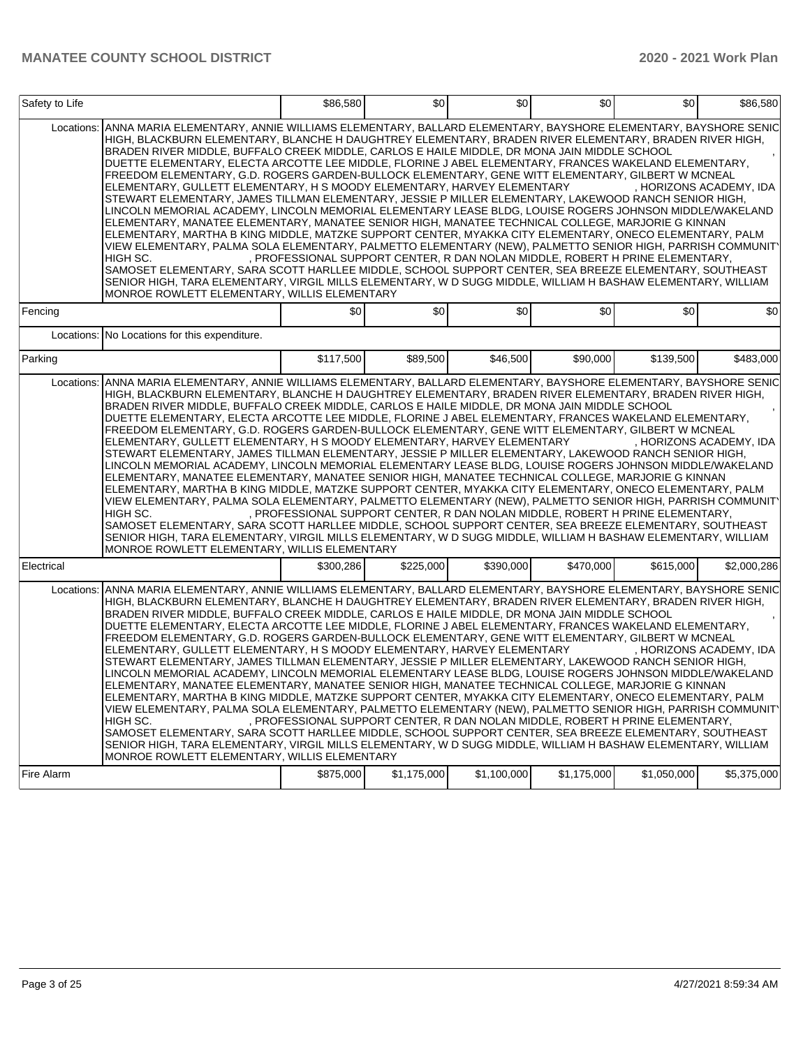| Safety to Life |                                                                                                                                                                                                                                                                                                                                                                                                                                                                                                                                                                                                                                                                                                                                                                                                                                                                                                                                                                                                                                                                                                                                                                                                                                                                                                                                                                                                                                                       | \$86,580                                                                      | \$0         | \$0         | \$0         | \$0         | \$86,580                |
|----------------|-------------------------------------------------------------------------------------------------------------------------------------------------------------------------------------------------------------------------------------------------------------------------------------------------------------------------------------------------------------------------------------------------------------------------------------------------------------------------------------------------------------------------------------------------------------------------------------------------------------------------------------------------------------------------------------------------------------------------------------------------------------------------------------------------------------------------------------------------------------------------------------------------------------------------------------------------------------------------------------------------------------------------------------------------------------------------------------------------------------------------------------------------------------------------------------------------------------------------------------------------------------------------------------------------------------------------------------------------------------------------------------------------------------------------------------------------------|-------------------------------------------------------------------------------|-------------|-------------|-------------|-------------|-------------------------|
| Locations:     | ANNA MARIA ELEMENTARY, ANNIE WILLIAMS ELEMENTARY, BALLARD ELEMENTARY, BAYSHORE ELEMENTARY, BAYSHORE SENIC<br>HIGH, BLACKBURN ELEMENTARY, BLANCHE H DAUGHTREY ELEMENTARY, BRADEN RIVER ELEMENTARY, BRADEN RIVER HIGH,<br>BRADEN RIVER MIDDLE, BUFFALO CREEK MIDDLE, CARLOS E HAILE MIDDLE, DR MONA JAIN MIDDLE SCHOOL<br>DUETTE ELEMENTARY. ELECTA ARCOTTE LEE MIDDLE, FLORINE J ABEL ELEMENTARY, FRANCES WAKELAND ELEMENTARY.<br>FREEDOM ELEMENTARY, G.D. ROGERS GARDEN-BULLOCK ELEMENTARY, GENE WITT ELEMENTARY, GILBERT W MCNEAL<br>ELEMENTARY, GULLETT ELEMENTARY, H S MOODY ELEMENTARY, HARVEY ELEMENTARY<br>STEWART ELEMENTARY, JAMES TILLMAN ELEMENTARY, JESSIE P MILLER ELEMENTARY, LAKEWOOD RANCH SENIOR HIGH,<br>LINCOLN MEMORIAL ACADEMY, LINCOLN MEMORIAL ELEMENTARY LEASE BLDG, LOUISE ROGERS JOHNSON MIDDLE/WAKELAND<br>ELEMENTARY, MANATEE ELEMENTARY, MANATEE SENIOR HIGH, MANATEE TECHNICAL COLLEGE, MARJORIE G KINNAN<br>ELEMENTARY, MARTHA B KING MIDDLE, MATZKE SUPPORT CENTER, MYAKKA CITY ELEMENTARY, ONECO ELEMENTARY, PALM<br>VIEW ELEMENTARY, PALMA SOLA ELEMENTARY, PALMETTO ELEMENTARY (NEW), PALMETTO SENIOR HIGH, PARRISH COMMUNIT'<br>HIGH SC.<br>SAMOSET ELEMENTARY, SARA SCOTT HARLLEE MIDDLE, SCHOOL SUPPORT CENTER, SEA BREEZE ELEMENTARY, SOUTHEAST<br>SENIOR HIGH, TARA ELEMENTARY, VIRGIL MILLS ELEMENTARY, W D SUGG MIDDLE, WILLIAM H BASHAW ELEMENTARY, WILLIAM<br>MONROE ROWLETT ELEMENTARY, WILLIS ELEMENTARY | , PROFESSIONAL SUPPORT CENTER, R DAN NOLAN MIDDLE, ROBERT H PRINE ELEMENTARY, |             |             |             |             | , HORIZONS ACADEMY, IDA |
| Fencing        |                                                                                                                                                                                                                                                                                                                                                                                                                                                                                                                                                                                                                                                                                                                                                                                                                                                                                                                                                                                                                                                                                                                                                                                                                                                                                                                                                                                                                                                       | \$0                                                                           | \$0         | \$0         | \$0         | \$0         | \$0                     |
|                | Locations: No Locations for this expenditure.                                                                                                                                                                                                                                                                                                                                                                                                                                                                                                                                                                                                                                                                                                                                                                                                                                                                                                                                                                                                                                                                                                                                                                                                                                                                                                                                                                                                         |                                                                               |             |             |             |             |                         |
| Parking        |                                                                                                                                                                                                                                                                                                                                                                                                                                                                                                                                                                                                                                                                                                                                                                                                                                                                                                                                                                                                                                                                                                                                                                                                                                                                                                                                                                                                                                                       | \$117,500                                                                     | \$89,500    | \$46,500    | \$90,000    | \$139,500   | \$483,000               |
| Locations:     | ANNA MARIA ELEMENTARY, ANNIE WILLIAMS ELEMENTARY, BALLARD ELEMENTARY, BAYSHORE ELEMENTARY, BAYSHORE SENIC<br>HIGH, BLACKBURN ELEMENTARY, BLANCHE H DAUGHTREY ELEMENTARY, BRADEN RIVER ELEMENTARY, BRADEN RIVER HIGH,<br>BRADEN RIVER MIDDLE, BUFFALO CREEK MIDDLE, CARLOS E HAILE MIDDLE, DR MONA JAIN MIDDLE SCHOOL<br>DUETTE ELEMENTARY, ELECTA ARCOTTE LEE MIDDLE, FLORINE J ABEL ELEMENTARY, FRANCES WAKELAND ELEMENTARY,<br>FREEDOM ELEMENTARY, G.D. ROGERS GARDEN-BULLOCK ELEMENTARY, GENE WITT ELEMENTARY, GILBERT W MCNEAL<br>ELEMENTARY, GULLETT ELEMENTARY, H S MOODY ELEMENTARY, HARVEY ELEMENTARY<br>STEWART ELEMENTARY, JAMES TILLMAN ELEMENTARY, JESSIE P MILLER ELEMENTARY, LAKEWOOD RANCH SENIOR HIGH,<br>LINCOLN MEMORIAL ACADEMY, LINCOLN MEMORIAL ELEMENTARY LEASE BLDG, LOUISE ROGERS JOHNSON MIDDLE/WAKELAND<br>ELEMENTARY, MANATEE ELEMENTARY, MANATEE SENIOR HIGH, MANATEE TECHNICAL COLLEGE, MARJORIE G KINNAN<br>ELEMENTARY, MARTHA B KING MIDDLE, MATZKE SUPPORT CENTER, MYAKKA CITY ELEMENTARY, ONECO ELEMENTARY, PALM<br>VIEW ELEMENTARY, PALMA SOLA ELEMENTARY, PALMETTO ELEMENTARY (NEW), PALMETTO SENIOR HIGH, PARRISH COMMUNIT<br>HIGH SC.<br>SAMOSET ELEMENTARY, SARA SCOTT HARLLEE MIDDLE, SCHOOL SUPPORT CENTER, SEA BREEZE ELEMENTARY, SOUTHEAST<br>SENIOR HIGH, TARA ELEMENTARY, VIRGIL MILLS ELEMENTARY, W D SUGG MIDDLE, WILLIAM H BASHAW ELEMENTARY, WILLIAM<br>MONROE ROWLETT ELEMENTARY, WILLIS ELEMENTARY  | , PROFESSIONAL SUPPORT CENTER, R DAN NOLAN MIDDLE, ROBERT H PRINE ELEMENTARY, |             |             |             |             | , HORIZONS ACADEMY, IDA |
| Electrical     |                                                                                                                                                                                                                                                                                                                                                                                                                                                                                                                                                                                                                                                                                                                                                                                                                                                                                                                                                                                                                                                                                                                                                                                                                                                                                                                                                                                                                                                       | \$300,286                                                                     | \$225,000   | \$390,000   | \$470,000   | \$615,000   | \$2,000,286             |
| Locations:     | ANNA MARIA ELEMENTARY, ANNIE WILLIAMS ELEMENTARY, BALLARD ELEMENTARY, BAYSHORE ELEMENTARY, BAYSHORE SENIC<br>HIGH, BLACKBURN ELEMENTARY, BLANCHE H DAUGHTREY ELEMENTARY, BRADEN RIVER ELEMENTARY, BRADEN RIVER HIGH,<br>BRADEN RIVER MIDDLE, BUFFALO CREEK MIDDLE, CARLOS E HAILE MIDDLE, DR MONA JAIN MIDDLE SCHOOL<br>DUETTE ELEMENTARY, ELECTA ARCOTTE LEE MIDDLE, FLORINE J ABEL ELEMENTARY, FRANCES WAKELAND ELEMENTARY,<br>FREEDOM ELEMENTARY, G.D. ROGERS GARDEN-BULLOCK ELEMENTARY, GENE WITT ELEMENTARY, GILBERT W MCNEAL<br>ELEMENTARY, GULLETT ELEMENTARY, H S MOODY ELEMENTARY, HARVEY ELEMENTARY<br>STEWART ELEMENTARY, JAMES TILLMAN ELEMENTARY, JESSIE P MILLER ELEMENTARY, LAKEWOOD RANCH SENIOR HIGH,<br>LINCOLN MEMORIAL ACADEMY, LINCOLN MEMORIAL ELEMENTARY LEASE BLDG, LOUISE ROGERS JOHNSON MIDDLE/WAKELAND<br>ELEMENTARY, MANATEE ELEMENTARY, MANATEE SENIOR HIGH, MANATEE TECHNICAL COLLEGE, MARJORIE G KINNAN<br>ELEMENTARY, MARTHA B KING MIDDLE, MATZKE SUPPORT CENTER, MYAKKA CITY ELEMENTARY, ONECO ELEMENTARY, PALM<br>VIEW ELEMENTARY, PALMA SOLA ELEMENTARY, PALMETTO ELEMENTARY (NEW), PALMETTO SENIOR HIGH, PARRISH COMMUNIT'<br>HIGH SC.<br>SAMOSET ELEMENTARY, SARA SCOTT HARLLEE MIDDLE, SCHOOL SUPPORT CENTER, SEA BREEZE ELEMENTARY, SOUTHEAST<br>SENIOR HIGH, TARA ELEMENTARY, VIRGIL MILLS ELEMENTARY, W D SUGG MIDDLE, WILLIAM H BASHAW ELEMENTARY, WILLIAM<br>MONROE ROWLETT ELEMENTARY, WILLIS ELEMENTARY | , PROFESSIONAL SUPPORT CENTER, R DAN NOLAN MIDDLE, ROBERT H PRINE ELEMENTARY, |             |             |             |             | , HORIZONS ACADEMY, IDA |
| Fire Alarm     |                                                                                                                                                                                                                                                                                                                                                                                                                                                                                                                                                                                                                                                                                                                                                                                                                                                                                                                                                                                                                                                                                                                                                                                                                                                                                                                                                                                                                                                       | \$875,000                                                                     | \$1,175,000 | \$1,100,000 | \$1,175,000 | \$1,050,000 | \$5,375,000             |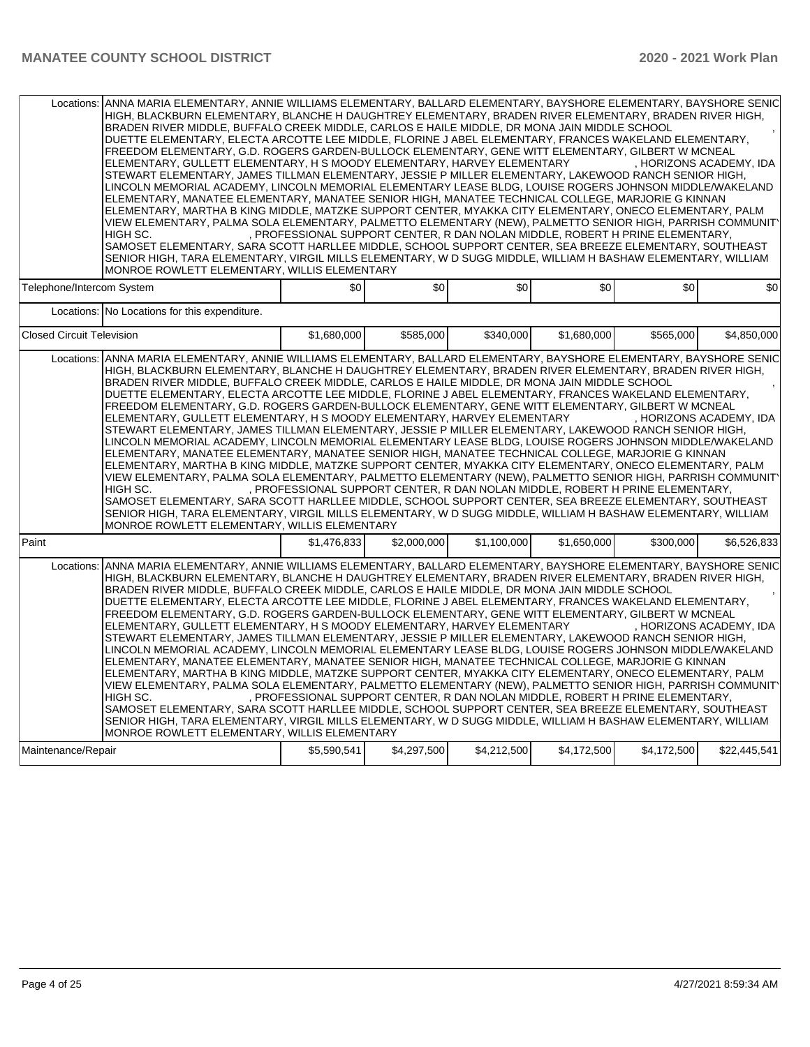| Locations:                       | ANNA MARIA ELEMENTARY, ANNIE WILLIAMS ELEMENTARY, BALLARD ELEMENTARY, BAYSHORE ELEMENTARY, BAYSHORE SENIC<br>HIGH, BLACKBURN ELEMENTARY, BLANCHE H DAUGHTREY ELEMENTARY, BRADEN RIVER ELEMENTARY, BRADEN RIVER HIGH,<br>BRADEN RIVER MIDDLE, BUFFALO CREEK MIDDLE, CARLOS E HAILE MIDDLE, DR MONA JAIN MIDDLE SCHOOL<br>DUETTE ELEMENTARY, ELECTA ARCOTTE LEE MIDDLE, FLORINE J ABEL ELEMENTARY, FRANCES WAKELAND ELEMENTARY,<br>FREEDOM ELEMENTARY, G.D. ROGERS GARDEN-BULLOCK ELEMENTARY, GENE WITT ELEMENTARY, GILBERT W MCNEAL<br>ELEMENTARY, GULLETT ELEMENTARY, H S MOODY ELEMENTARY, HARVEY ELEMENTARY<br>STEWART ELEMENTARY, JAMES TILLMAN ELEMENTARY, JESSIE P MILLER ELEMENTARY, LAKEWOOD RANCH SENIOR HIGH,<br>LINCOLN MEMORIAL ACADEMY, LINCOLN MEMORIAL ELEMENTARY LEASE BLDG, LOUISE ROGERS JOHNSON MIDDLE/WAKELAND<br>ELEMENTARY, MANATEE ELEMENTARY, MANATEE SENIOR HIGH, MANATEE TECHNICAL COLLEGE, MARJORIE G KINNAN<br>ELEMENTARY, MARTHA B KING MIDDLE, MATZKE SUPPORT CENTER, MYAKKA CITY ELEMENTARY, ONECO ELEMENTARY, PALM<br>VIEW ELEMENTARY, PALMA SOLA ELEMENTARY, PALMETTO ELEMENTARY (NEW), PALMETTO SENIOR HIGH, PARRISH COMMUNITY<br>HIGH SC.<br>SAMOSET ELEMENTARY, SARA SCOTT HARLLEE MIDDLE, SCHOOL SUPPORT CENTER, SEA BREEZE ELEMENTARY, SOUTHEAST<br>SENIOR HIGH, TARA ELEMENTARY, VIRGIL MILLS ELEMENTARY, W D SUGG MIDDLE, WILLIAM H BASHAW ELEMENTARY, WILLIAM<br>MONROE ROWLETT ELEMENTARY, WILLIS ELEMENTARY            | , PROFESSIONAL SUPPORT CENTER, R DAN NOLAN MIDDLE, ROBERT H PRINE ELEMENTARY, |             |             |             |             | . HORIZONS ACADEMY. IDA |
|----------------------------------|------------------------------------------------------------------------------------------------------------------------------------------------------------------------------------------------------------------------------------------------------------------------------------------------------------------------------------------------------------------------------------------------------------------------------------------------------------------------------------------------------------------------------------------------------------------------------------------------------------------------------------------------------------------------------------------------------------------------------------------------------------------------------------------------------------------------------------------------------------------------------------------------------------------------------------------------------------------------------------------------------------------------------------------------------------------------------------------------------------------------------------------------------------------------------------------------------------------------------------------------------------------------------------------------------------------------------------------------------------------------------------------------------------------------------------------------------------------|-------------------------------------------------------------------------------|-------------|-------------|-------------|-------------|-------------------------|
| Telephone/Intercom System        |                                                                                                                                                                                                                                                                                                                                                                                                                                                                                                                                                                                                                                                                                                                                                                                                                                                                                                                                                                                                                                                                                                                                                                                                                                                                                                                                                                                                                                                                  | \$0 <sub>1</sub>                                                              | \$0         | \$0         | \$0         | \$0         | \$0                     |
|                                  | Locations: No Locations for this expenditure.                                                                                                                                                                                                                                                                                                                                                                                                                                                                                                                                                                                                                                                                                                                                                                                                                                                                                                                                                                                                                                                                                                                                                                                                                                                                                                                                                                                                                    |                                                                               |             |             |             |             |                         |
| <b>Closed Circuit Television</b> |                                                                                                                                                                                                                                                                                                                                                                                                                                                                                                                                                                                                                                                                                                                                                                                                                                                                                                                                                                                                                                                                                                                                                                                                                                                                                                                                                                                                                                                                  | \$1,680,000                                                                   | \$585,000   | \$340,000   | \$1,680,000 | \$565,000   | \$4,850,000             |
|                                  | Locations: ANNA MARIA ELEMENTARY, ANNIE WILLIAMS ELEMENTARY, BALLARD ELEMENTARY, BAYSHORE ELEMENTARY, BAYSHORE SENIC<br>HIGH, BLACKBURN ELEMENTARY, BLANCHE H DAUGHTREY ELEMENTARY, BRADEN RIVER ELEMENTARY, BRADEN RIVER HIGH,<br>BRADEN RIVER MIDDLE, BUFFALO CREEK MIDDLE, CARLOS E HAILE MIDDLE, DR MONA JAIN MIDDLE SCHOOL<br>DUETTE ELEMENTARY, ELECTA ARCOTTE LEE MIDDLE, FLORINE J ABEL ELEMENTARY, FRANCES WAKELAND ELEMENTARY,<br>FREEDOM ELEMENTARY, G.D. ROGERS GARDEN-BULLOCK ELEMENTARY, GENE WITT ELEMENTARY, GILBERT W MCNEAL<br>ELEMENTARY, GULLETT ELEMENTARY, H S MOODY ELEMENTARY, HARVEY ELEMENTARY<br>STEWART ELEMENTARY, JAMES TILLMAN ELEMENTARY, JESSIE P MILLER ELEMENTARY, LAKEWOOD RANCH SENIOR HIGH,<br>LINCOLN MEMORIAL ACADEMY, LINCOLN MEMORIAL ELEMENTARY LEASE BLDG, LOUISE ROGERS JOHNSON MIDDLE/WAKELAND<br>ELEMENTARY, MANATEE ELEMENTARY, MANATEE SENIOR HIGH, MANATEE TECHNICAL COLLEGE, MARJORIE G KINNAN<br>ELEMENTARY, MARTHA B KING MIDDLE, MATZKE SUPPORT CENTER, MYAKKA CITY ELEMENTARY, ONECO ELEMENTARY, PALM<br>VIEW ELEMENTARY, PALMA SOLA ELEMENTARY, PALMETTO ELEMENTARY (NEW), PALMETTO SENIOR HIGH, PARRISH COMMUNITY<br>HIGH SC.<br>SAMOSET ELEMENTARY. SARA SCOTT HARLLEE MIDDLE. SCHOOL SUPPORT CENTER. SEA BREEZE ELEMENTARY. SOUTHEAST<br>SENIOR HIGH, TARA ELEMENTARY, VIRGIL MILLS ELEMENTARY, W D SUGG MIDDLE, WILLIAM H BASHAW ELEMENTARY, WILLIAM<br>MONROE ROWLETT ELEMENTARY, WILLIS ELEMENTARY | PROFESSIONAL SUPPORT CENTER, R DAN NOLAN MIDDLE, ROBERT H PRINE ELEMENTARY,   |             |             |             |             | . HORIZONS ACADEMY. IDA |
| Paint                            |                                                                                                                                                                                                                                                                                                                                                                                                                                                                                                                                                                                                                                                                                                                                                                                                                                                                                                                                                                                                                                                                                                                                                                                                                                                                                                                                                                                                                                                                  | \$1,476,833                                                                   | \$2,000,000 | \$1.100.000 | \$1.650.000 | \$300,000   | \$6.526.833             |
| Locations:                       | ANNA MARIA ELEMENTARY, ANNIE WILLIAMS ELEMENTARY, BALLARD ELEMENTARY, BAYSHORE ELEMENTARY, BAYSHORE SENIC<br>HIGH, BLACKBURN ELEMENTARY, BLANCHE H DAUGHTREY ELEMENTARY, BRADEN RIVER ELEMENTARY, BRADEN RIVER HIGH,<br>BRADEN RIVER MIDDLE, BUFFALO CREEK MIDDLE, CARLOS E HAILE MIDDLE, DR MONA JAIN MIDDLE SCHOOL<br>DUETTE ELEMENTARY, ELECTA ARCOTTE LEE MIDDLE, FLORINE J ABEL ELEMENTARY, FRANCES WAKELAND ELEMENTARY,<br>FREEDOM ELEMENTARY, G.D. ROGERS GARDEN-BULLOCK ELEMENTARY, GENE WITT ELEMENTARY, GILBERT W MCNEAL<br>ELEMENTARY, GULLETT ELEMENTARY, H S MOODY ELEMENTARY, HARVEY ELEMENTARY<br>STEWART ELEMENTARY, JAMES TILLMAN ELEMENTARY, JESSIE P MILLER ELEMENTARY, LAKEWOOD RANCH SENIOR HIGH,<br>LINCOLN MEMORIAL ACADEMY, LINCOLN MEMORIAL ELEMENTARY LEASE BLDG, LOUISE ROGERS JOHNSON MIDDLE/WAKELAND<br>ELEMENTARY, MANATEE ELEMENTARY, MANATEE SENIOR HIGH, MANATEE TECHNICAL COLLEGE, MARJORIE G KINNAN<br>ELEMENTARY, MARTHA B KING MIDDLE, MATZKE SUPPORT CENTER, MYAKKA CITY ELEMENTARY, ONECO ELEMENTARY, PALM<br>VIEW ELEMENTARY, PALMA SOLA ELEMENTARY, PALMETTO ELEMENTARY (NEW), PALMETTO SENIOR HIGH, PARRISH COMMUNIT'<br>HIGH SC.<br>SAMOSET ELEMENTARY, SARA SCOTT HARLLEE MIDDLE, SCHOOL SUPPORT CENTER, SEA BREEZE ELEMENTARY, SOUTHEAST<br>SENIOR HIGH, TARA ELEMENTARY, VIRGIL MILLS ELEMENTARY, W D SUGG MIDDLE, WILLIAM H BASHAW ELEMENTARY, WILLIAM<br>MONROE ROWLETT ELEMENTARY, WILLIS ELEMENTARY            | PROFESSIONAL SUPPORT CENTER, R DAN NOLAN MIDDLE, ROBERT H PRINE ELEMENTARY,   |             |             |             |             | , HORIZONS ACADEMY, IDA |
| Maintenance/Repair               |                                                                                                                                                                                                                                                                                                                                                                                                                                                                                                                                                                                                                                                                                                                                                                                                                                                                                                                                                                                                                                                                                                                                                                                                                                                                                                                                                                                                                                                                  | \$5,590,541                                                                   | \$4,297,500 | \$4,212,500 | \$4,172,500 | \$4,172,500 | \$22,445,541            |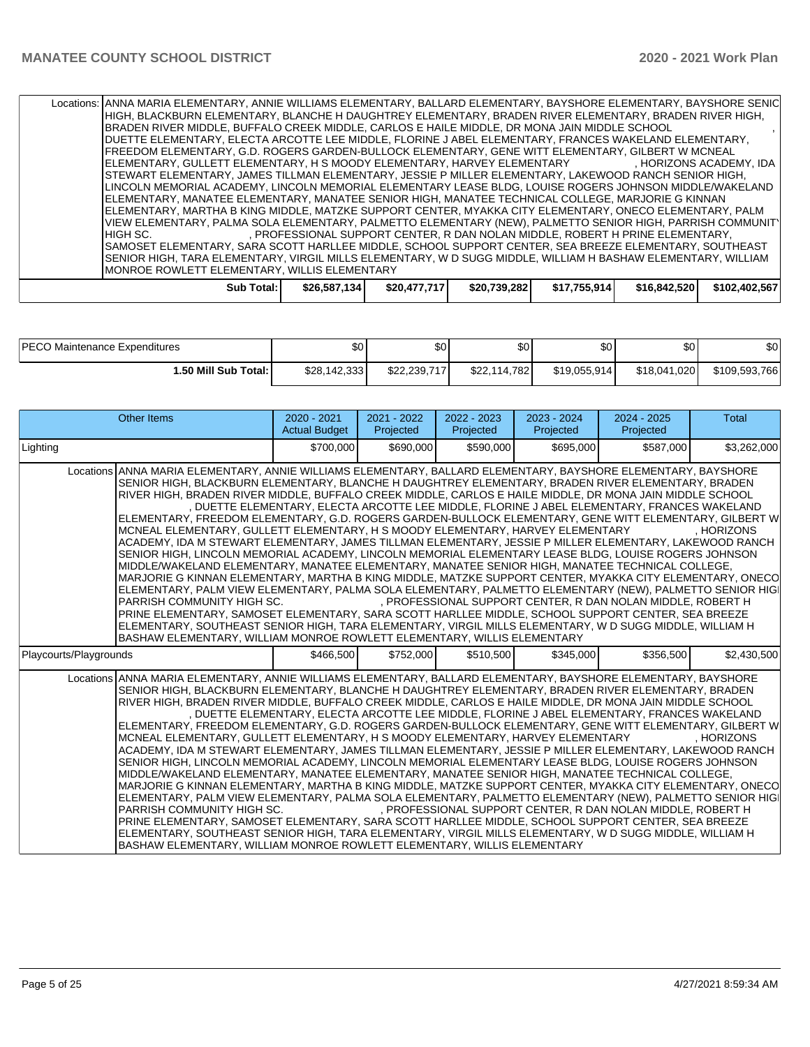| Locations: JANNA MARIA ELEMENTARY, ANNIE WILLIAMS ELEMENTARY, BALLARD ELEMENTARY, BAYSHORE ELEMENTARY, BAYSHORE SENIC |                                                                               |              |              |              |              |               |  |  |
|-----------------------------------------------------------------------------------------------------------------------|-------------------------------------------------------------------------------|--------------|--------------|--------------|--------------|---------------|--|--|
| HIGH, BLACKBURN ELEMENTARY, BLANCHE H DAUGHTREY ELEMENTARY, BRADEN RIVER ELEMENTARY, BRADEN RIVER HIGH,               |                                                                               |              |              |              |              |               |  |  |
| BRADEN RIVER MIDDLE, BUFFALO CREEK MIDDLE, CARLOS E HAILE MIDDLE, DR MONA JAIN MIDDLE SCHOOL                          |                                                                               |              |              |              |              |               |  |  |
| IDUETTE ELEMENTARY. ELECTA ARCOTTE LEE MIDDLE. FLORINE J ABEL ELEMENTARY. FRANCES WAKELAND ELEMENTARY.                |                                                                               |              |              |              |              |               |  |  |
| FREEDOM ELEMENTARY, G.D. ROGERS GARDEN-BULLOCK ELEMENTARY, GENE WITT ELEMENTARY, GILBERT W MCNEAL                     |                                                                               |              |              |              |              |               |  |  |
| IELEMENTARY, GULLETT ELEMENTARY, H S MOODY ELEMENTARY, HARVEY ELEMENTARY       , HORIZONS ACADEMY, IDA                |                                                                               |              |              |              |              |               |  |  |
| ISTEWART ELEMENTARY. JAMES TILLMAN ELEMENTARY. JESSIE P MILLER ELEMENTARY. LAKEWOOD RANCH SENIOR HIGH.                |                                                                               |              |              |              |              |               |  |  |
| LINCOLN MEMORIAL ACADEMY, LINCOLN MEMORIAL ELEMENTARY LEASE BLDG, LOUISE ROGERS JOHNSON MIDDLE/WAKELAND               |                                                                               |              |              |              |              |               |  |  |
| ELEMENTARY, MANATEE ELEMENTARY, MANATEE SENIOR HIGH, MANATEE TECHNICAL COLLEGE, MARJORIE G KINNAN                     |                                                                               |              |              |              |              |               |  |  |
| IELEMENTARY, MARTHA B KING MIDDLE, MATZKE SUPPORT CENTER, MYAKKA CITY ELEMENTARY, ONECO ELEMENTARY, PALM              |                                                                               |              |              |              |              |               |  |  |
| VIEW ELEMENTARY, PALMA SOLA ELEMENTARY, PALMETTO ELEMENTARY (NEW), PALMETTO SENIOR HIGH, PARRISH COMMUNIT'            |                                                                               |              |              |              |              |               |  |  |
| IHIGH SC.                                                                                                             | . PROFESSIONAL SUPPORT CENTER. R DAN NOLAN MIDDLE. ROBERT H PRINE ELEMENTARY. |              |              |              |              |               |  |  |
| SAMOSET ELEMENTARY, SARA SCOTT HARLLEE MIDDLE, SCHOOL SUPPORT CENTER, SEA BREEZE ELEMENTARY, SOUTHEAST                |                                                                               |              |              |              |              |               |  |  |
| SENIOR HIGH, TARA ELEMENTARY, VIRGIL MILLS ELEMENTARY, W D SUGG MIDDLE, WILLIAM H BASHAW ELEMENTARY, WILLIAM          |                                                                               |              |              |              |              |               |  |  |
|                                                                                                                       | IMONROE ROWLETT ELEMENTARY. WILLIS ELEMENTARY                                 |              |              |              |              |               |  |  |
|                                                                                                                       |                                                                               |              |              |              |              |               |  |  |
| Sub Total:                                                                                                            | \$26,587,134                                                                  | \$20,477,717 | \$20,739,282 | \$17,755,914 | \$16,842,520 | \$102.402.567 |  |  |
|                                                                                                                       |                                                                               |              |              |              |              |               |  |  |

| <b>IPECO Maintenance Expenditures</b> | ሶስ<br>ФU     | \$٥١         | ሶሳ<br>J∪ '   | \$0          | <b>SO</b>    | \$0           |
|---------------------------------------|--------------|--------------|--------------|--------------|--------------|---------------|
| I.50 Mill Sub Total: I                | \$28.142.333 | \$22.239.717 | \$22.114.782 | \$19,055,914 | \$18,041,020 | \$109,593,766 |

| <b>Other Items</b>                                                                                                                                                                                                                                                                                                                                                                                                                                                                                                                                                                                                                                                                                                                                                                                                                                                                                                                                                                                                                                                                                                                                                                                                                                                                                                                                                                                                                                                                                                                                                              | $2020 - 2021$<br><b>Actual Budget</b> | 2021 - 2022<br>Projected | 2022 - 2023<br>Projected | 2023 - 2024<br>Projected | $2024 - 2025$<br>Projected                                                                                                                                 | <b>Total</b> |  |  |
|---------------------------------------------------------------------------------------------------------------------------------------------------------------------------------------------------------------------------------------------------------------------------------------------------------------------------------------------------------------------------------------------------------------------------------------------------------------------------------------------------------------------------------------------------------------------------------------------------------------------------------------------------------------------------------------------------------------------------------------------------------------------------------------------------------------------------------------------------------------------------------------------------------------------------------------------------------------------------------------------------------------------------------------------------------------------------------------------------------------------------------------------------------------------------------------------------------------------------------------------------------------------------------------------------------------------------------------------------------------------------------------------------------------------------------------------------------------------------------------------------------------------------------------------------------------------------------|---------------------------------------|--------------------------|--------------------------|--------------------------|------------------------------------------------------------------------------------------------------------------------------------------------------------|--------------|--|--|
| Lighting                                                                                                                                                                                                                                                                                                                                                                                                                                                                                                                                                                                                                                                                                                                                                                                                                                                                                                                                                                                                                                                                                                                                                                                                                                                                                                                                                                                                                                                                                                                                                                        | \$700,000                             | \$690,000                | \$590,000                | \$695,000                | \$587,000                                                                                                                                                  | \$3,262,000  |  |  |
| Locations ANNA MARIA ELEMENTARY, ANNIE WILLIAMS ELEMENTARY, BALLARD ELEMENTARY, BAYSHORE ELEMENTARY, BAYSHORE<br>SENIOR HIGH, BLACKBURN ELEMENTARY, BLANCHE H DAUGHTREY ELEMENTARY, BRADEN RIVER ELEMENTARY, BRADEN<br>RIVER HIGH, BRADEN RIVER MIDDLE, BUFFALO CREEK MIDDLE, CARLOS E HAILE MIDDLE, DR MONA JAIN MIDDLE SCHOOL<br>, DUETTE ELEMENTARY, ELECTA ARCOTTE LEE MIDDLE, FLORINE J ABEL ELEMENTARY, FRANCES WAKELAND<br>ELEMENTARY, FREEDOM ELEMENTARY, G.D. ROGERS GARDEN-BULLOCK ELEMENTARY, GENE WITT ELEMENTARY, GILBERT W<br>MCNEAL ELEMENTARY, GULLETT ELEMENTARY, H S MOODY ELEMENTARY, HARVEY ELEMENTARY<br>. HORIZONS<br>ACADEMY, IDA M STEWART ELEMENTARY, JAMES TILLMAN ELEMENTARY, JESSIE P MILLER ELEMENTARY, LAKEWOOD RANCH<br>SENIOR HIGH, LINCOLN MEMORIAL ACADEMY, LINCOLN MEMORIAL ELEMENTARY LEASE BLDG, LOUISE ROGERS JOHNSON<br>MIDDLE/WAKELAND ELEMENTARY, MANATEE ELEMENTARY, MANATEE SENIOR HIGH, MANATEE TECHNICAL COLLEGE,<br>MARJORIE G KINNAN ELEMENTARY, MARTHA B KING MIDDLE, MATZKE SUPPORT CENTER, MYAKKA CITY ELEMENTARY, ONECO<br>ELEMENTARY, PALM VIEW ELEMENTARY, PALMA SOLA ELEMENTARY, PALMETTO ELEMENTARY (NEW), PALMETTO SENIOR HIGI<br>, PROFESSIONAL SUPPORT CENTER, R DAN NOLAN MIDDLE, ROBERT H<br>PARRISH COMMUNITY HIGH SC.<br>PRINE ELEMENTARY, SAMOSET ELEMENTARY, SARA SCOTT HARLLEE MIDDLE, SCHOOL SUPPORT CENTER, SEA BREEZE<br>ELEMENTARY, SOUTHEAST SENIOR HIGH, TARA ELEMENTARY, VIRGIL MILLS ELEMENTARY, W D SUGG MIDDLE, WILLIAM H<br>BASHAW ELEMENTARY, WILLIAM MONROE ROWLETT ELEMENTARY, WILLIS ELEMENTARY |                                       |                          |                          |                          |                                                                                                                                                            |              |  |  |
| Playcourts/Playgrounds                                                                                                                                                                                                                                                                                                                                                                                                                                                                                                                                                                                                                                                                                                                                                                                                                                                                                                                                                                                                                                                                                                                                                                                                                                                                                                                                                                                                                                                                                                                                                          | \$466,500                             | \$752,000                | \$510,500                | \$345,000                | \$356,500                                                                                                                                                  | \$2,430,500  |  |  |
| Locations ANNA MARIA ELEMENTARY, ANNIE WILLIAMS ELEMENTARY, BALLARD ELEMENTARY, BAYSHORE ELEMENTARY, BAYSHORE<br>SENIOR HIGH, BLACKBURN ELEMENTARY, BLANCHE H DAUGHTREY ELEMENTARY, BRADEN RIVER ELEMENTARY, BRADEN<br>RIVER HIGH, BRADEN RIVER MIDDLE, BUFFALO CREEK MIDDLE, CARLOS E HAILE MIDDLE, DR MONA JAIN MIDDLE SCHOOL<br>ELEMENTARY, FREEDOM ELEMENTARY, G.D. ROGERS GARDEN-BULLOCK ELEMENTARY, GENE WITT ELEMENTARY, GILBERT W<br>MCNEAL ELEMENTARY, GULLETT ELEMENTARY, H S MOODY ELEMENTARY, HARVEY ELEMENTARY<br>ACADEMY, IDA M STEWART ELEMENTARY, JAMES TILLMAN ELEMENTARY, JESSIE P MILLER ELEMENTARY, LAKEWOOD RANCH<br>SENIOR HIGH, LINCOLN MEMORIAL ACADEMY, LINCOLN MEMORIAL ELEMENTARY LEASE BLDG, LOUISE ROGERS JOHNSON<br>MIDDLE/WAKELAND ELEMENTARY, MANATEE ELEMENTARY, MANATEE SENIOR HIGH, MANATEE TECHNICAL COLLEGE,<br>MARJORIE G KINNAN ELEMENTARY, MARTHA B KING MIDDLE, MATZKE SUPPORT CENTER, MYAKKA CITY ELEMENTARY, ONECO<br>ELEMENTARY, PALM VIEW ELEMENTARY, PALMA SOLA ELEMENTARY, PALMETTO ELEMENTARY (NEW), PALMETTO SENIOR HIGI<br>PARRISH COMMUNITY HIGH SC.<br>PRINE ELEMENTARY, SAMOSET ELEMENTARY, SARA SCOTT HARLLEE MIDDLE, SCHOOL SUPPORT CENTER, SEA BREEZE<br>ELEMENTARY, SOUTHEAST SENIOR HIGH, TARA ELEMENTARY, VIRGIL MILLS ELEMENTARY, W D SUGG MIDDLE, WILLIAM H<br>BASHAW ELEMENTARY, WILLIAM MONROE ROWLETT ELEMENTARY, WILLIS ELEMENTARY                                                                                                                                                                             |                                       |                          |                          |                          | , DUETTE ELEMENTARY, ELECTA ARCOTTE LEE MIDDLE, FLORINE J ABEL ELEMENTARY, FRANCES WAKELAND<br>, PROFESSIONAL SUPPORT CENTER, R DAN NOLAN MIDDLE, ROBERT H | . HORIZONS   |  |  |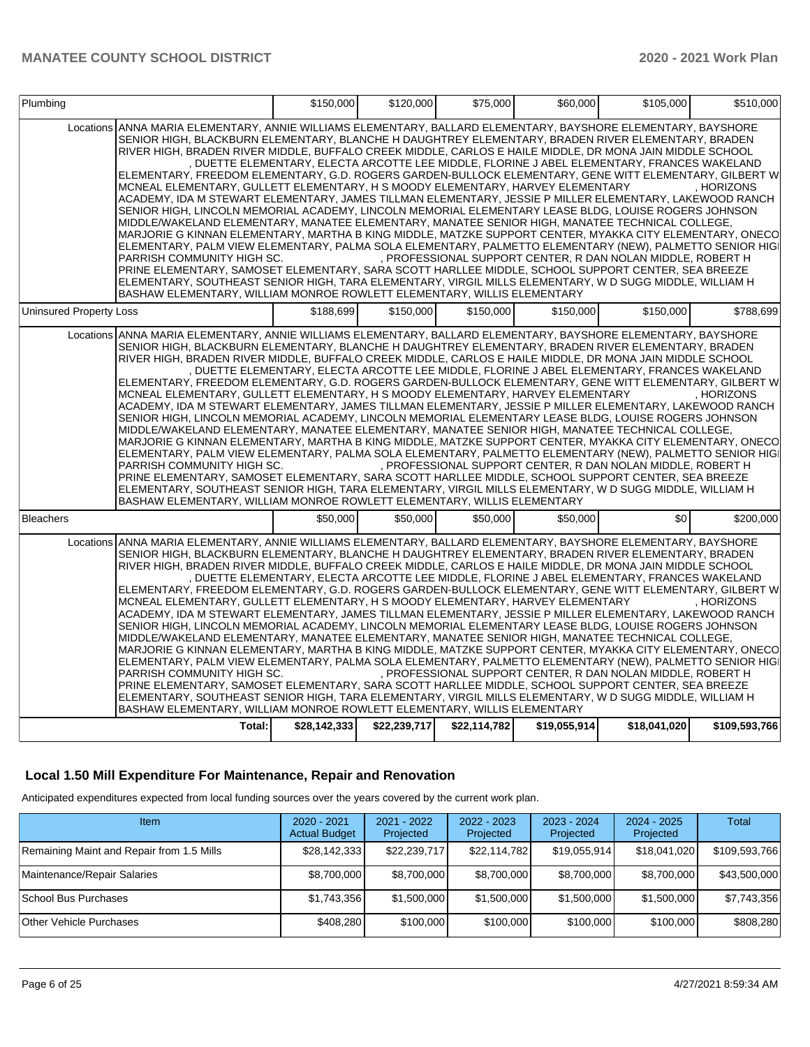| Plumbing                       |                                                                                                                                                                                                                                                                                                                                                                                                                                                                                                                                                                                                                                                                                                                                                                                                                                                                                                                                                                                                                                                                                                                                                                                                                                                                                                                                                                                                     | \$150,000    | \$120,000    | \$75,000     | \$60,000     | \$105.000                                                                                                                                                  | \$510.000     |
|--------------------------------|-----------------------------------------------------------------------------------------------------------------------------------------------------------------------------------------------------------------------------------------------------------------------------------------------------------------------------------------------------------------------------------------------------------------------------------------------------------------------------------------------------------------------------------------------------------------------------------------------------------------------------------------------------------------------------------------------------------------------------------------------------------------------------------------------------------------------------------------------------------------------------------------------------------------------------------------------------------------------------------------------------------------------------------------------------------------------------------------------------------------------------------------------------------------------------------------------------------------------------------------------------------------------------------------------------------------------------------------------------------------------------------------------------|--------------|--------------|--------------|--------------|------------------------------------------------------------------------------------------------------------------------------------------------------------|---------------|
|                                | Locations ANNA MARIA ELEMENTARY, ANNIE WILLIAMS ELEMENTARY, BALLARD ELEMENTARY, BAYSHORE ELEMENTARY, BAYSHORE<br>SENIOR HIGH, BLACKBURN ELEMENTARY, BLANCHE H DAUGHTREY ELEMENTARY, BRADEN RIVER ELEMENTARY, BRADEN<br>RIVER HIGH, BRADEN RIVER MIDDLE, BUFFALO CREEK MIDDLE, CARLOS E HAILE MIDDLE, DR MONA JAIN MIDDLE SCHOOL<br>ELEMENTARY, FREEDOM ELEMENTARY, G.D. ROGERS GARDEN-BULLOCK ELEMENTARY, GENE WITT ELEMENTARY, GILBERT W<br>MCNEAL ELEMENTARY, GULLETT ELEMENTARY, H S MOODY ELEMENTARY, HARVEY ELEMENTARY<br>ACADEMY, IDA M STEWART ELEMENTARY, JAMES TILLMAN ELEMENTARY, JESSIE P MILLER ELEMENTARY, LAKEWOOD RANCH<br>SENIOR HIGH, LINCOLN MEMORIAL ACADEMY, LINCOLN MEMORIAL ELEMENTARY LEASE BLDG, LOUISE ROGERS JOHNSON<br>MIDDLE/WAKELAND ELEMENTARY, MANATEE ELEMENTARY, MANATEE SENIOR HIGH, MANATEE TECHNICAL COLLEGE,<br>MARJORIE G KINNAN ELEMENTARY, MARTHA B KING MIDDLE, MATZKE SUPPORT CENTER, MYAKKA CITY ELEMENTARY, ONECO<br>ELEMENTARY, PALM VIEW ELEMENTARY, PALMA SOLA ELEMENTARY, PALMETTO ELEMENTARY (NEW), PALMETTO SENIOR HIGI<br>PARRISH COMMUNITY HIGH SC.<br>PRINE ELEMENTARY, SAMOSET ELEMENTARY, SARA SCOTT HARLLEE MIDDLE, SCHOOL SUPPORT CENTER, SEA BREEZE<br>ELEMENTARY, SOUTHEAST SENIOR HIGH, TARA ELEMENTARY, VIRGIL MILLS ELEMENTARY, W D SUGG MIDDLE, WILLIAM H<br>BASHAW ELEMENTARY, WILLIAM MONROE ROWLETT ELEMENTARY, WILLIS ELEMENTARY |              |              |              |              | DUETTE ELEMENTARY, ELECTA ARCOTTE LEE MIDDLE, FLORINE J ABEL ELEMENTARY, FRANCES WAKELAND<br>, PROFESSIONAL SUPPORT CENTER, R DAN NOLAN MIDDLE, ROBERT H   | . HORIZONS    |
| <b>Uninsured Property Loss</b> |                                                                                                                                                                                                                                                                                                                                                                                                                                                                                                                                                                                                                                                                                                                                                                                                                                                                                                                                                                                                                                                                                                                                                                                                                                                                                                                                                                                                     | \$188.699    | \$150,000    | \$150,000    | \$150,000    | \$150,000                                                                                                                                                  | \$788,699     |
|                                | Locations ANNA MARIA ELEMENTARY, ANNIE WILLIAMS ELEMENTARY, BALLARD ELEMENTARY, BAYSHORE ELEMENTARY, BAYSHORE<br>SENIOR HIGH, BLACKBURN ELEMENTARY, BLANCHE H DAUGHTREY ELEMENTARY, BRADEN RIVER ELEMENTARY, BRADEN<br>RIVER HIGH, BRADEN RIVER MIDDLE, BUFFALO CREEK MIDDLE, CARLOS E HAILE MIDDLE, DR MONA JAIN MIDDLE SCHOOL<br>ELEMENTARY, FREEDOM ELEMENTARY, G.D. ROGERS GARDEN-BULLOCK ELEMENTARY, GENE WITT ELEMENTARY, GILBERT W<br>MCNEAL ELEMENTARY, GULLETT ELEMENTARY, H S MOODY ELEMENTARY, HARVEY ELEMENTARY<br>ACADEMY, IDA M STEWART ELEMENTARY, JAMES TILLMAN ELEMENTARY, JESSIE P MILLER ELEMENTARY, LAKEWOOD RANCH<br>SENIOR HIGH, LINCOLN MEMORIAL ACADEMY, LINCOLN MEMORIAL ELEMENTARY LEASE BLDG, LOUISE ROGERS JOHNSON<br>MIDDLE/WAKELAND ELEMENTARY, MANATEE ELEMENTARY, MANATEE SENIOR HIGH, MANATEE TECHNICAL COLLEGE,<br>MARJORIE G KINNAN ELEMENTARY, MARTHA B KING MIDDLE, MATZKE SUPPORT CENTER, MYAKKA CITY ELEMENTARY, ONECO<br>ELEMENTARY, PALM VIEW ELEMENTARY, PALMA SOLA ELEMENTARY, PALMETTO ELEMENTARY (NEW), PALMETTO SENIOR HIGI<br>PARRISH COMMUNITY HIGH SC.<br>PRINE ELEMENTARY, SAMOSET ELEMENTARY, SARA SCOTT HARLLEE MIDDLE, SCHOOL SUPPORT CENTER, SEA BREEZE<br>ELEMENTARY, SOUTHEAST SENIOR HIGH, TARA ELEMENTARY, VIRGIL MILLS ELEMENTARY, W D SUGG MIDDLE, WILLIAM H<br>BASHAW ELEMENTARY, WILLIAM MONROE ROWLETT ELEMENTARY, WILLIS ELEMENTARY |              |              |              |              | , DUETTE ELEMENTARY, ELECTA ARCOTTE LEE MIDDLE, FLORINE J ABEL ELEMENTARY, FRANCES WAKELAND<br>, PROFESSIONAL SUPPORT CENTER, R DAN NOLAN MIDDLE, ROBERT H | . HORIZONS    |
| <b>Bleachers</b>               |                                                                                                                                                                                                                                                                                                                                                                                                                                                                                                                                                                                                                                                                                                                                                                                                                                                                                                                                                                                                                                                                                                                                                                                                                                                                                                                                                                                                     | \$50,000     | \$50,000     | \$50,000     | \$50,000     | \$0                                                                                                                                                        | \$200.000     |
|                                | Locations ANNA MARIA ELEMENTARY, ANNIE WILLIAMS ELEMENTARY, BALLARD ELEMENTARY, BAYSHORE ELEMENTARY, BAYSHORE<br>SENIOR HIGH, BLACKBURN ELEMENTARY, BLANCHE H DAUGHTREY ELEMENTARY, BRADEN RIVER ELEMENTARY, BRADEN<br>RIVER HIGH, BRADEN RIVER MIDDLE, BUFFALO CREEK MIDDLE, CARLOS E HAILE MIDDLE, DR MONA JAIN MIDDLE SCHOOL<br>ELEMENTARY, FREEDOM ELEMENTARY, G.D. ROGERS GARDEN-BULLOCK ELEMENTARY, GENE WITT ELEMENTARY, GILBERT W<br>MCNEAL ELEMENTARY, GULLETT ELEMENTARY, H S MOODY ELEMENTARY, HARVEY ELEMENTARY<br>ACADEMY, IDA M STEWART ELEMENTARY, JAMES TILLMAN ELEMENTARY, JESSIE P MILLER ELEMENTARY, LAKEWOOD RANCH<br>SENIOR HIGH, LINCOLN MEMORIAL ACADEMY, LINCOLN MEMORIAL ELEMENTARY LEASE BLDG, LOUISE ROGERS JOHNSON<br>MIDDLE/WAKELAND ELEMENTARY, MANATEE ELEMENTARY, MANATEE SENIOR HIGH, MANATEE TECHNICAL COLLEGE,<br>MARJORIE G KINNAN ELEMENTARY, MARTHA B KING MIDDLE, MATZKE SUPPORT CENTER, MYAKKA CITY ELEMENTARY, ONECO<br>ELEMENTARY, PALM VIEW ELEMENTARY, PALMA SOLA ELEMENTARY, PALMETTO ELEMENTARY (NEW), PALMETTO SENIOR HIGI<br>PARRISH COMMUNITY HIGH SC.<br>PRINE ELEMENTARY, SAMOSET ELEMENTARY, SARA SCOTT HARLLEE MIDDLE, SCHOOL SUPPORT CENTER, SEA BREEZE<br>ELEMENTARY, SOUTHEAST SENIOR HIGH, TARA ELEMENTARY, VIRGIL MILLS ELEMENTARY, W D SUGG MIDDLE, WILLIAM H<br>BASHAW ELEMENTARY, WILLIAM MONROE ROWLETT ELEMENTARY, WILLIS ELEMENTARY |              |              |              |              | , DUETTE ELEMENTARY, ELECTA ARCOTTE LEE MIDDLE, FLORINE J ABEL ELEMENTARY, FRANCES WAKELAND<br>, PROFESSIONAL SUPPORT CENTER, R DAN NOLAN MIDDLE, ROBERT H | . HORIZONS    |
|                                | Total:                                                                                                                                                                                                                                                                                                                                                                                                                                                                                                                                                                                                                                                                                                                                                                                                                                                                                                                                                                                                                                                                                                                                                                                                                                                                                                                                                                                              | \$28,142,333 | \$22,239,717 | \$22,114,782 | \$19,055,914 | \$18,041,020                                                                                                                                               | \$109,593,766 |

## **Local 1.50 Mill Expenditure For Maintenance, Repair and Renovation**

Anticipated expenditures expected from local funding sources over the years covered by the current work plan.

| Item                                      | $2020 - 2021$<br><b>Actual Budget</b> | $2021 - 2022$<br>Projected | 2022 - 2023<br>Projected | $2023 - 2024$<br>Projected | $2024 - 2025$<br>Projected | <b>Total</b>  |
|-------------------------------------------|---------------------------------------|----------------------------|--------------------------|----------------------------|----------------------------|---------------|
| Remaining Maint and Repair from 1.5 Mills | \$28,142,333                          | \$22,239,717               | \$22,114,782             | \$19,055,914               | \$18,041,020               | \$109,593,766 |
| Maintenance/Repair Salaries               | \$8,700,000                           | \$8,700,000                | \$8,700,000              | \$8,700,000                | \$8.700,000                | \$43,500,000  |
| School Bus Purchases                      | \$1,743,356                           | \$1,500,000                | \$1,500,000              | \$1,500,000                | \$1,500,000                | \$7,743,356   |
| <b>Other Vehicle Purchases</b>            | \$408,280                             | \$100,000                  | \$100,000                | \$100,000                  | \$100,000                  | \$808,280     |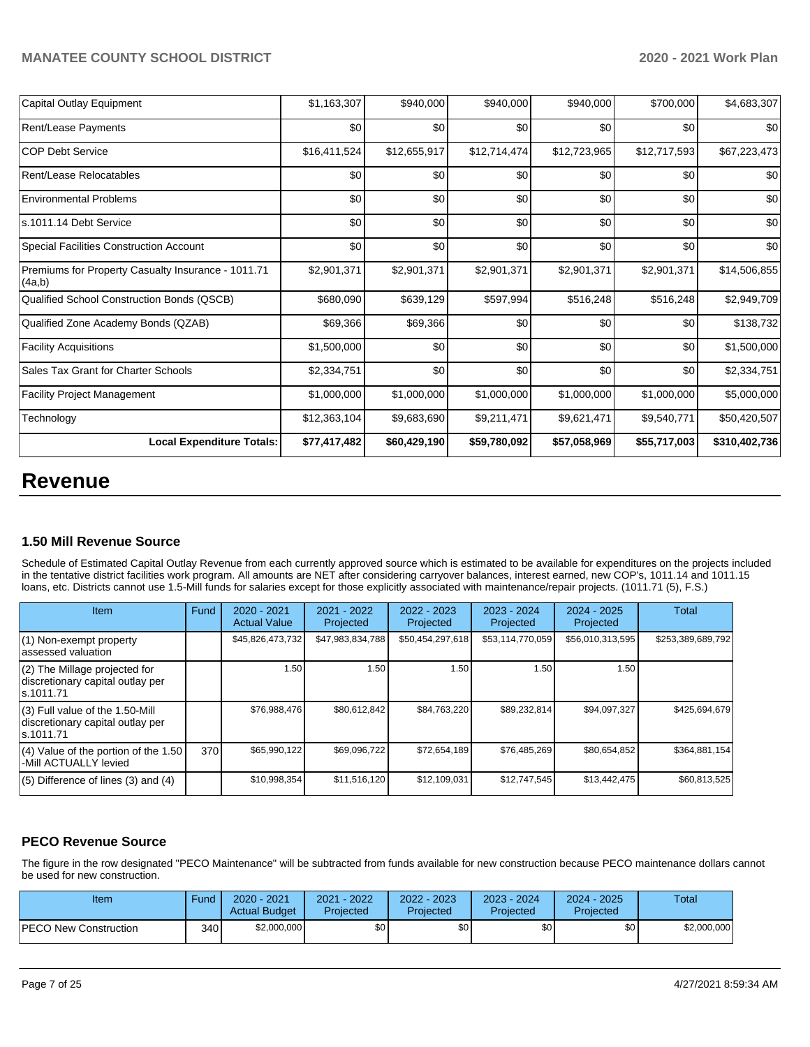| <b>Local Expenditure Totals:</b>                             | \$77,417,482 | \$60,429,190 | \$59,780,092 | \$57,058,969 | \$55,717,003 | \$310,402,736 |
|--------------------------------------------------------------|--------------|--------------|--------------|--------------|--------------|---------------|
| Technology                                                   | \$12,363,104 | \$9,683,690  | \$9,211,471  | \$9,621,471  | \$9,540,771  | \$50,420,507  |
| <b>Facility Project Management</b>                           | \$1,000,000  | \$1,000,000  | \$1,000,000  | \$1,000,000  | \$1,000,000  | \$5,000,000   |
| Sales Tax Grant for Charter Schools                          | \$2,334,751  | \$0          | \$0          | \$0          | \$0          | \$2,334,751   |
| <b>Facility Acquisitions</b>                                 | \$1,500,000  | \$0          | \$0          | \$0          | \$0          | \$1,500,000   |
| Qualified Zone Academy Bonds (QZAB)                          | \$69,366     | \$69,366     | \$0          | \$0          | \$0          | \$138,732     |
| Qualified School Construction Bonds (QSCB)                   | \$680,090    | \$639,129    | \$597,994    | \$516,248    | \$516,248    | \$2,949,709   |
| Premiums for Property Casualty Insurance - 1011.71<br>(4a,b) | \$2,901,371  | \$2,901,371  | \$2,901,371  | \$2,901,371  | \$2,901,371  | \$14,506,855  |
| <b>Special Facilities Construction Account</b>               | \$0          | \$0          | \$0          | \$0          | \$0          | \$0           |
| s.1011.14 Debt Service                                       | \$0          | \$0          | \$0          | \$0          | \$0          | \$0           |
| <b>Environmental Problems</b>                                | \$0          | \$0          | \$0          | \$0          | \$0          | \$0           |
| Rent/Lease Relocatables                                      | \$0          | \$0          | \$0          | \$0          | \$0          | \$0           |
| <b>COP Debt Service</b>                                      | \$16,411,524 | \$12,655,917 | \$12,714,474 | \$12,723,965 | \$12,717,593 | \$67,223,473  |
| Rent/Lease Payments                                          | \$0          | \$0          | \$0          | \$0          | \$0          | \$0           |
| Capital Outlay Equipment                                     | \$1,163,307  | \$940,000    | \$940,000    | \$940,000    | \$700,000    | \$4,683,307   |

# **Revenue**

## **1.50 Mill Revenue Source**

Schedule of Estimated Capital Outlay Revenue from each currently approved source which is estimated to be available for expenditures on the projects included in the tentative district facilities work program. All amounts are NET after considering carryover balances, interest earned, new COP's, 1011.14 and 1011.15 loans, etc. Districts cannot use 1.5-Mill funds for salaries except for those explicitly associated with maintenance/repair projects. (1011.71 (5), F.S.)

| Item                                                                                | Fund | $2020 - 2021$<br><b>Actual Value</b> | $2021 - 2022$<br>Projected | $2022 - 2023$<br>Projected | $2023 - 2024$<br>Projected | $2024 - 2025$<br>Projected | Total             |
|-------------------------------------------------------------------------------------|------|--------------------------------------|----------------------------|----------------------------|----------------------------|----------------------------|-------------------|
| (1) Non-exempt property<br>lassessed valuation                                      |      | \$45,826,473,732                     | \$47,983,834,788           | \$50,454,297,618           | \$53,114,770,059           | \$56,010,313,595           | \$253,389,689,792 |
| $(2)$ The Millage projected for<br>discretionary capital outlay per<br>ls.1011.71   |      | 1.50                                 | 1.50                       | 1.50                       | 1.50                       | 1.50                       |                   |
| $(3)$ Full value of the 1.50-Mill<br>discretionary capital outlay per<br>ls.1011.71 |      | \$76,988,476                         | \$80,612,842               | \$84,763,220               | \$89,232,814               | \$94,097,327               | \$425,694,679     |
| $(4)$ Value of the portion of the 1.50<br>-Mill ACTUALLY levied                     | 370  | \$65,990,122                         | \$69,096,722               | \$72,654,189               | \$76,485,269               | \$80,654,852               | \$364,881,154     |
| $(5)$ Difference of lines $(3)$ and $(4)$                                           |      | \$10,998,354                         | \$11,516,120               | \$12,109,031               | \$12,747,545               | \$13,442,475               | \$60,813,525      |

# **PECO Revenue Source**

The figure in the row designated "PECO Maintenance" will be subtracted from funds available for new construction because PECO maintenance dollars cannot be used for new construction.

| Item                         | Fund | 2020 - 2021<br><b>Actual Budget</b> | 2021 - 2022<br>Projected | 2022 - 2023<br>Projected | 2023 - 2024<br>Projected | 2024 - 2025<br>Projected | Total       |
|------------------------------|------|-------------------------------------|--------------------------|--------------------------|--------------------------|--------------------------|-------------|
| <b>PECO New Construction</b> | 340  | \$2,000,000                         | \$0                      | \$0                      | \$0                      | \$0 <sub>1</sub>         | \$2,000,000 |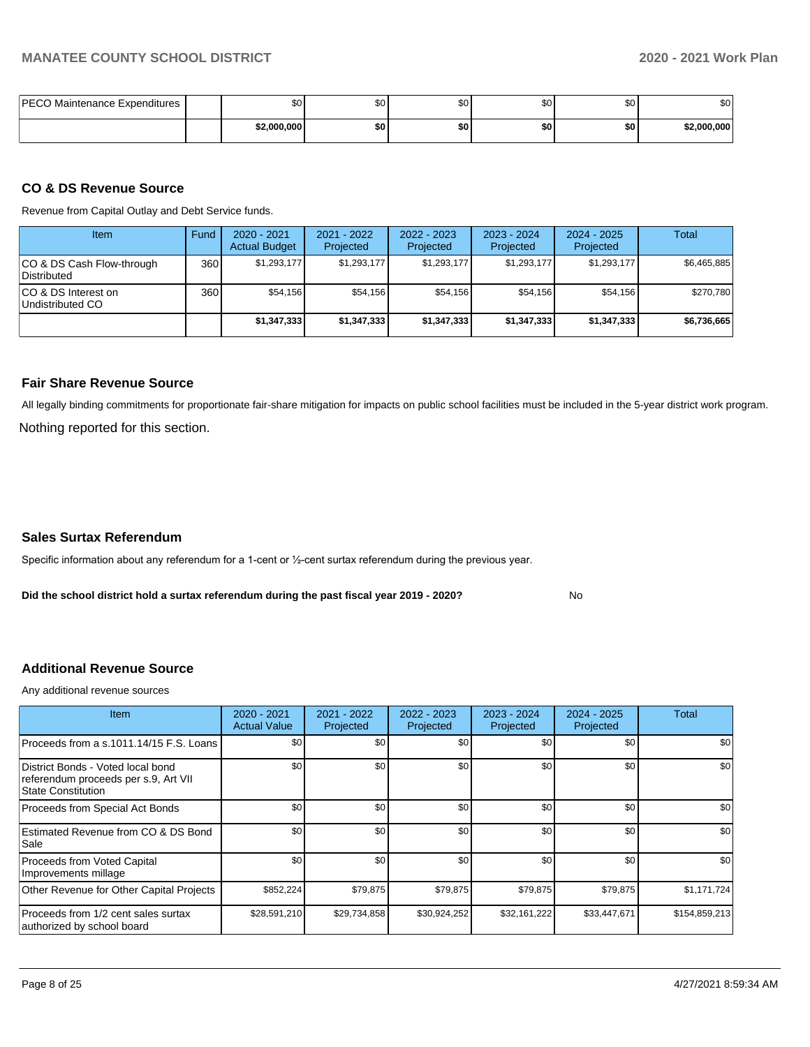| <b>PECO</b><br>Maintenance Expenditures | \$0         | ሖጣ<br>wυ | \$C | υv  | ሶስ<br>ΦU | ົ<br>Ψ      |
|-----------------------------------------|-------------|----------|-----|-----|----------|-------------|
|                                         | \$2,000,000 | \$0      | \$0 | \$0 | \$0      | \$2.000.000 |

# **CO & DS Revenue Source**

Revenue from Capital Outlay and Debt Service funds.

| <b>Item</b>                               | Fund | 2020 - 2021<br><b>Actual Budget</b> | 2021 - 2022<br>Projected | 2022 - 2023<br>Projected | $2023 - 2024$<br>Projected | $2024 - 2025$<br>Projected | Total       |
|-------------------------------------------|------|-------------------------------------|--------------------------|--------------------------|----------------------------|----------------------------|-------------|
| ICO & DS Cash Flow-through<br>Distributed | 360  | \$1,293,177                         | \$1,293,177              | \$1,293,177              | \$1,293,177                | \$1,293,177                | \$6,465,885 |
| ICO & DS Interest on<br>Undistributed CO  | 360  | \$54.156                            | \$54.156                 | \$54.156                 | \$54,156                   | \$54.156                   | \$270,780   |
|                                           |      | \$1,347,333                         | \$1,347,333              | \$1,347,333              | \$1,347,333                | \$1,347,333                | \$6,736,665 |

### **Fair Share Revenue Source**

Nothing reported for this section. All legally binding commitments for proportionate fair-share mitigation for impacts on public school facilities must be included in the 5-year district work program.

### **Sales Surtax Referendum**

Specific information about any referendum for a 1-cent or ½-cent surtax referendum during the previous year.

**Did the school district hold a surtax referendum during the past fiscal year 2019 - 2020?**

No

## **Additional Revenue Source**

Any additional revenue sources

| <b>Item</b>                                                                                     | 2020 - 2021<br><b>Actual Value</b> | 2021 - 2022<br>Projected | 2022 - 2023<br>Projected | 2023 - 2024<br>Projected | 2024 - 2025<br>Projected | Total         |
|-------------------------------------------------------------------------------------------------|------------------------------------|--------------------------|--------------------------|--------------------------|--------------------------|---------------|
| Proceeds from a s.1011.14/15 F.S. Loans                                                         | \$0                                | \$0                      | \$0                      | \$0                      | \$0                      | \$0           |
| District Bonds - Voted local bond<br>referendum proceeds per s.9, Art VII<br>State Constitution | \$0                                | \$0                      | \$0                      | \$0                      | \$0                      | \$0           |
| Proceeds from Special Act Bonds                                                                 | \$0                                | \$0                      | \$0                      | \$0                      | \$0                      | \$0           |
| Estimated Revenue from CO & DS Bond<br>Sale                                                     | \$0                                | \$0                      | \$0                      | \$0                      | \$0                      | \$0           |
| Proceeds from Voted Capital<br>Improvements millage                                             | \$0                                | \$0                      | \$0                      | \$0                      | \$0                      | \$0           |
| Other Revenue for Other Capital Projects                                                        | \$852,224                          | \$79,875                 | \$79,875                 | \$79,875                 | \$79,875                 | \$1,171,724   |
| Proceeds from 1/2 cent sales surtax<br>authorized by school board                               | \$28,591,210                       | \$29,734,858             | \$30,924,252             | \$32,161,222             | \$33,447,671             | \$154,859,213 |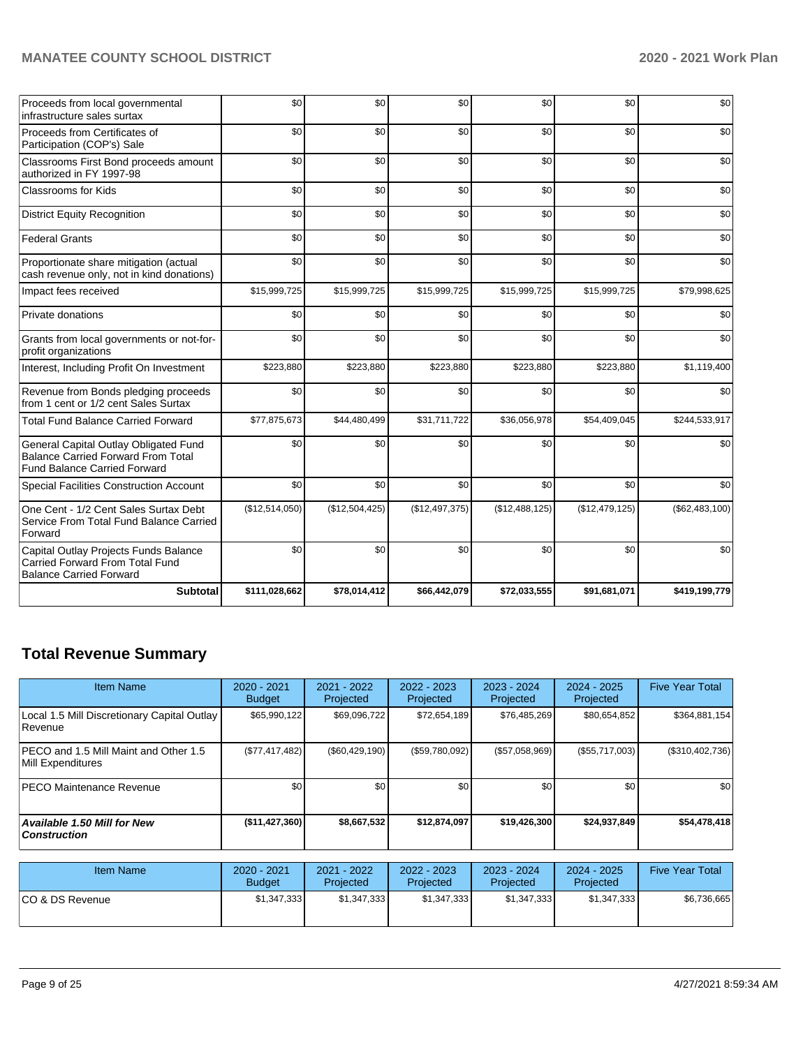| Proceeds from local governmental<br>infrastructure sales surtax                                                           | \$0            | \$0            | \$0            | \$0            | \$0            | \$0            |
|---------------------------------------------------------------------------------------------------------------------------|----------------|----------------|----------------|----------------|----------------|----------------|
| Proceeds from Certificates of<br>Participation (COP's) Sale                                                               | \$0            | \$0            | \$0            | \$0            | \$0            | \$0            |
| Classrooms First Bond proceeds amount<br>authorized in FY 1997-98                                                         | \$0            | \$0            | \$0            | \$0            | \$0            | \$0            |
| Classrooms for Kids                                                                                                       | \$0            | \$0            | \$0            | \$0            | \$0            | \$0            |
| <b>District Equity Recognition</b>                                                                                        | \$0            | \$0            | \$0            | \$0            | \$0            | \$0            |
| <b>Federal Grants</b>                                                                                                     | \$0            | \$0            | \$0            | \$0            | \$0            | \$0            |
| Proportionate share mitigation (actual<br>cash revenue only, not in kind donations)                                       | \$0            | \$0            | \$0            | \$0            | \$0            | \$0            |
| Impact fees received                                                                                                      | \$15,999,725   | \$15,999,725   | \$15,999,725   | \$15,999,725   | \$15,999,725   | \$79,998,625   |
| Private donations                                                                                                         | \$0            | \$0            | \$0            | \$0            | \$0            | \$0            |
| Grants from local governments or not-for-<br>profit organizations                                                         | \$0            | \$0            | \$0            | \$0            | \$0            | \$0            |
| Interest, Including Profit On Investment                                                                                  | \$223,880      | \$223,880      | \$223,880      | \$223,880      | \$223,880      | \$1,119,400    |
| Revenue from Bonds pledging proceeds<br>from 1 cent or 1/2 cent Sales Surtax                                              | \$0            | \$0            | \$0            | \$0            | \$0            | \$0            |
| <b>Total Fund Balance Carried Forward</b>                                                                                 | \$77,875,673   | \$44,480,499   | \$31,711,722   | \$36,056,978   | \$54,409,045   | \$244,533,917  |
| General Capital Outlay Obligated Fund<br><b>Balance Carried Forward From Total</b><br><b>Fund Balance Carried Forward</b> | \$0            | \$0            | \$0            | \$0            | \$0            | \$0            |
| <b>Special Facilities Construction Account</b>                                                                            | \$0            | \$0            | \$0            | \$0            | \$0            | \$0            |
| One Cent - 1/2 Cent Sales Surtax Debt<br>Service From Total Fund Balance Carried<br>Forward                               | (\$12,514,050) | (\$12,504,425) | (\$12,497,375) | (\$12,488,125) | (\$12,479,125) | (\$62,483,100) |
| Capital Outlay Projects Funds Balance<br><b>Carried Forward From Total Fund</b><br><b>Balance Carried Forward</b>         | \$0            | \$0            | \$0            | \$0            | \$0            | \$0            |
| <b>Subtotal</b>                                                                                                           | \$111,028,662  | \$78,014,412   | \$66,442,079   | \$72,033,555   | \$91,681,071   | \$419.199.779  |

# **Total Revenue Summary**

| <b>Item Name</b>                                                   | 2020 - 2021<br><b>Budget</b> | $2021 - 2022$<br>Projected | 2022 - 2023<br>Projected | $2023 - 2024$<br>Projected | $2024 - 2025$<br>Projected | <b>Five Year Total</b> |
|--------------------------------------------------------------------|------------------------------|----------------------------|--------------------------|----------------------------|----------------------------|------------------------|
| Local 1.5 Mill Discretionary Capital Outlay<br>Revenue             | \$65,990,122                 | \$69,096,722               | \$72,654,189             | \$76,485,269               | \$80,654,852               | \$364,881,154          |
| <b>IPECO and 1.5 Mill Maint and Other 1.5</b><br>Mill Expenditures | (\$77,417,482)               | $(\$60,429,190)$           | (\$59,780,092)           | (\$57,058,969)             | (\$55,717,003)             | (\$310,402,736)        |
| <b>PECO Maintenance Revenue</b>                                    | \$0 <sub>1</sub>             | \$0                        | \$0                      | \$0                        | \$0                        | \$0                    |
| <b>Available 1.50 Mill for New</b><br><b>Construction</b>          | (\$11,427,360)               | \$8,667,532                | \$12,874,097             | \$19,426,300               | \$24,937,849               | \$54,478,418           |

| <b>Item Name</b> | 2020 - 2021<br><b>Budget</b> | 2021 - 2022<br>Projected | $2022 - 2023$<br>Projected | 2023 - 2024<br>Projected | 2024 - 2025<br>Projected | <b>Five Year Total</b> |
|------------------|------------------------------|--------------------------|----------------------------|--------------------------|--------------------------|------------------------|
| ICO & DS Revenue | \$1,347,333                  | \$1,347,333              | \$1,347,333                | \$1,347,333              | \$1,347,333              | \$6,736,665            |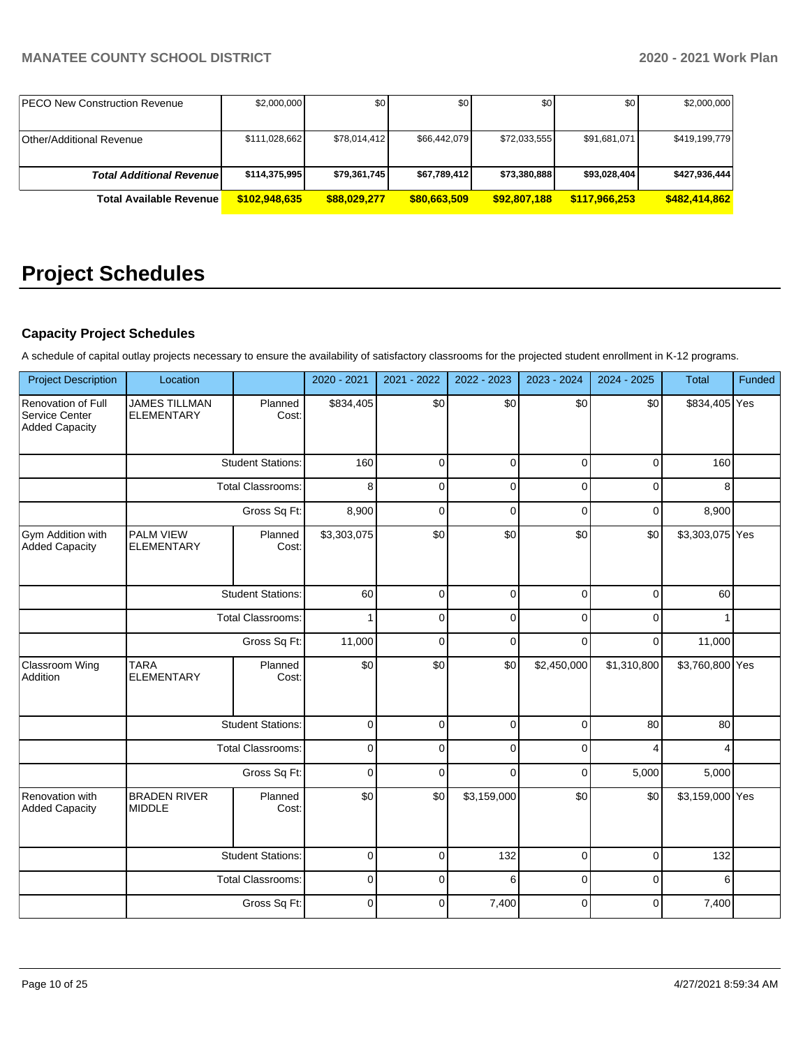| <b>IPECO New Construction Revenue</b> | \$2,000,000   | \$0          | \$0          | \$0          | \$0           | \$2,000,000   |
|---------------------------------------|---------------|--------------|--------------|--------------|---------------|---------------|
|                                       |               |              |              |              |               |               |
| <b>Other/Additional Revenue</b>       | \$111,028,662 | \$78,014,412 | \$66,442,079 | \$72,033,555 | \$91,681,071  | \$419,199,779 |
|                                       |               |              |              |              |               |               |
| <b>Total Additional Revenuel</b>      | \$114,375,995 | \$79,361,745 | \$67,789,412 | \$73,380,888 | \$93,028,404  | \$427,936,444 |
| <b>Total Available Revenue</b>        | \$102.948.635 | \$88,029,277 | \$80,663,509 | \$92,807,188 | \$117.966.253 | \$482,414,862 |

# **Project Schedules**

# **Capacity Project Schedules**

A schedule of capital outlay projects necessary to ensure the availability of satisfactory classrooms for the projected student enrollment in K-12 programs.

| <b>Project Description</b>                                           | Location                                  |                          | 2020 - 2021 | 2021 - 2022 | 2022 - 2023 | 2023 - 2024 | 2024 - 2025 | <b>Total</b>    | Funded |
|----------------------------------------------------------------------|-------------------------------------------|--------------------------|-------------|-------------|-------------|-------------|-------------|-----------------|--------|
| <b>Renovation of Full</b><br>Service Center<br><b>Added Capacity</b> | <b>JAMES TILLMAN</b><br><b>ELEMENTARY</b> | Planned<br>Cost:         | \$834,405   | \$0         | \$0         | \$0         | \$0         | \$834,405 Yes   |        |
|                                                                      |                                           | <b>Student Stations:</b> | 160         | $\mathbf 0$ | 0           | $\Omega$    | 0           | 160             |        |
|                                                                      |                                           | <b>Total Classrooms:</b> | 8           | $\Omega$    | $\Omega$    | $\Omega$    | $\Omega$    | 8               |        |
|                                                                      |                                           | Gross Sq Ft:             | 8,900       | $\mathbf 0$ | 0           | $\Omega$    | 0           | 8,900           |        |
| Gym Addition with<br><b>Added Capacity</b>                           | PALM VIEW<br><b>ELEMENTARY</b>            | Planned<br>Cost:         | \$3,303,075 | \$0         | \$0         | \$0         | \$0         | \$3,303,075 Yes |        |
|                                                                      |                                           | <b>Student Stations:</b> | 60          | $\mathbf 0$ | 0           | 0           | 0           | 60              |        |
|                                                                      | <b>Total Classrooms:</b>                  |                          | 1           | $\mathbf 0$ | 0           | $\Omega$    | 0           |                 |        |
|                                                                      |                                           | Gross Sq Ft:             |             | $\mathbf 0$ | 0           | $\Omega$    | $\Omega$    | 11,000          |        |
| Classroom Wing<br>Addition                                           | <b>TARA</b><br><b>ELEMENTARY</b>          | Planned<br>Cost:         | \$0         | \$0         | \$0         | \$2,450,000 | \$1,310,800 | \$3,760,800 Yes |        |
|                                                                      |                                           | <b>Student Stations:</b> | $\mathbf 0$ | $\Omega$    | $\Omega$    | $\Omega$    | 80          | 80              |        |
|                                                                      |                                           | <b>Total Classrooms:</b> | $\mathbf 0$ | $\Omega$    | $\Omega$    | $\Omega$    | 4           |                 |        |
|                                                                      |                                           | Gross Sq Ft:             | $\Omega$    | $\Omega$    | $\Omega$    | $\Omega$    | 5,000       | 5,000           |        |
| Renovation with<br><b>Added Capacity</b>                             | <b>BRADEN RIVER</b><br><b>MIDDLE</b>      | Planned<br>Cost:         | \$0         | \$0         | \$3,159,000 | \$0         | \$0         | \$3,159,000 Yes |        |
|                                                                      |                                           | <b>Student Stations:</b> | $\mathbf 0$ | $\Omega$    | 132         | $\Omega$    | $\Omega$    | 132             |        |
|                                                                      |                                           | <b>Total Classrooms:</b> | $\mathbf 0$ | $\Omega$    | 6           | $\Omega$    | 0           | 6               |        |
|                                                                      |                                           | Gross Sq Ft:             | $\mathbf 0$ | $\Omega$    | 7,400       | $\Omega$    | $\Omega$    | 7,400           |        |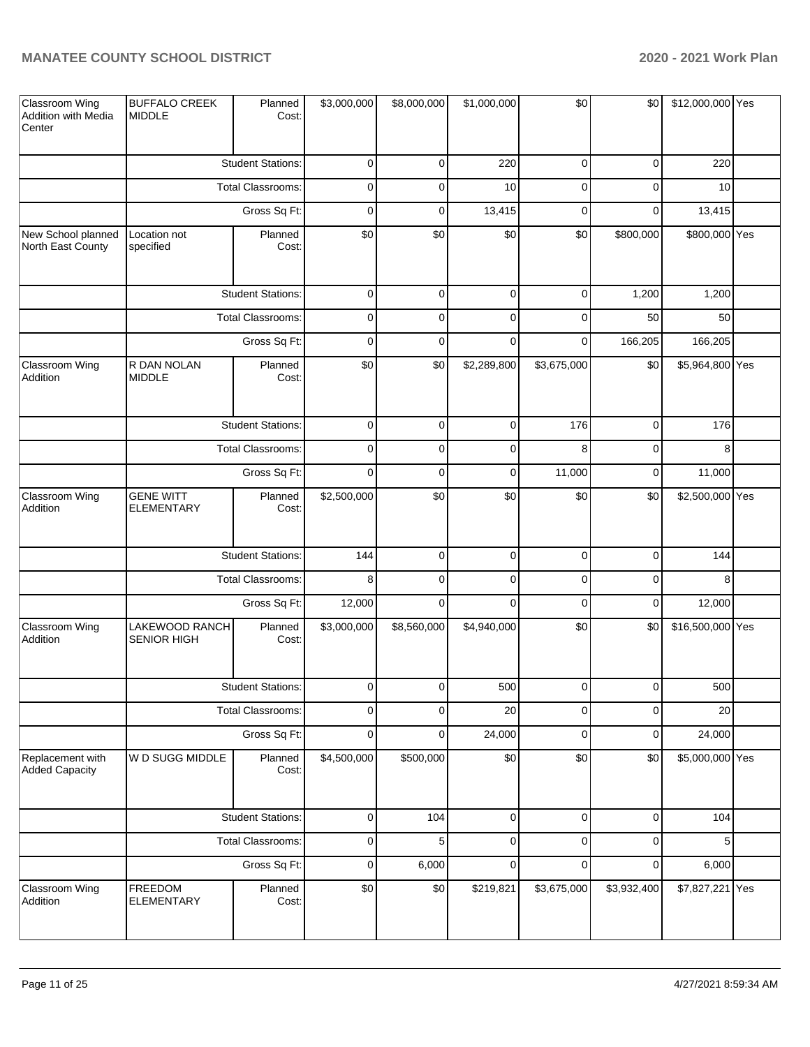| Classroom Wing<br>Addition with Media<br>Center | <b>BUFFALO CREEK</b><br><b>MIDDLE</b> | Planned<br>Cost:         | \$3,000,000         | \$8,000,000 | \$1,000,000 | \$0         | \$0         | \$12,000,000 Yes |  |
|-------------------------------------------------|---------------------------------------|--------------------------|---------------------|-------------|-------------|-------------|-------------|------------------|--|
|                                                 |                                       | <b>Student Stations:</b> | $\pmb{0}$           | 0           | 220         | 0           | 0           | 220              |  |
|                                                 |                                       | Total Classrooms:        | $\pmb{0}$           | $\mathbf 0$ | 10          | 0           | $\mathbf 0$ | 10               |  |
|                                                 |                                       | Gross Sq Ft:             | $\mathbf 0$         | $\mathbf 0$ | 13,415      | $\mathbf 0$ | 0           | 13,415           |  |
| New School planned<br>North East County         | Location not<br>specified             | Planned<br>Cost:         | \$0                 | \$0         | \$0         | \$0         | \$800,000   | \$800,000 Yes    |  |
|                                                 |                                       | <b>Student Stations:</b> | $\mathsf{O}\xspace$ | $\mathbf 0$ | $\pmb{0}$   | $\mathbf 0$ | 1,200       | 1,200            |  |
|                                                 |                                       | Total Classrooms:        | $\mathbf 0$         | $\mathbf 0$ | $\mathbf 0$ | 0           | 50          | 50               |  |
|                                                 |                                       | Gross Sq Ft:             | $\mathbf 0$         | $\mathbf 0$ | $\mathbf 0$ | 0           | 166,205     | 166,205          |  |
| Classroom Wing<br>Addition                      | R DAN NOLAN<br><b>MIDDLE</b>          | Planned<br>Cost:         | \$0                 | \$0         | \$2,289,800 | \$3,675,000 | \$0         | \$5,964,800 Yes  |  |
|                                                 |                                       | <b>Student Stations:</b> | $\pmb{0}$           | 0           | $\mathbf 0$ | 176         | $\pmb{0}$   | 176              |  |
|                                                 |                                       | Total Classrooms:        | $\pmb{0}$           | $\mathbf 0$ | $\mathbf 0$ | 8           | $\pmb{0}$   | 8                |  |
|                                                 |                                       | Gross Sq Ft:             | $\mathbf 0$         | $\mathbf 0$ | $\mathbf 0$ | 11,000      | 0           | 11,000           |  |
| Classroom Wing<br>Addition                      | <b>GENE WITT</b><br><b>ELEMENTARY</b> | Planned<br>Cost:         | \$2,500,000         | \$0         | \$0         | \$0         | \$0         | \$2,500,000 Yes  |  |
|                                                 |                                       | <b>Student Stations:</b> | 144                 | $\mathbf 0$ | $\pmb{0}$   | $\mathbf 0$ | $\pmb{0}$   | 144              |  |
|                                                 |                                       | Total Classrooms:        | 8                   | $\mathbf 0$ | $\mathbf 0$ | 0           | $\pmb{0}$   | 8                |  |
|                                                 |                                       | Gross Sq Ft:             | 12,000              | $\mathbf 0$ | $\mathbf 0$ | $\mathbf 0$ | $\pmb{0}$   | 12,000           |  |
| Classroom Wing<br>Addition                      | LAKEWOOD RANCH<br><b>SENIOR HIGH</b>  | Planned<br>Cost:         | \$3,000,000         | \$8,560,000 | \$4,940,000 | \$0         | \$0         | \$16,500,000 Yes |  |
|                                                 |                                       | <b>Student Stations:</b> | $\Omega$            | $\Omega$    | 500         | $\Omega$    | $\Omega$    | 500              |  |
|                                                 |                                       | Total Classrooms:        | $\pmb{0}$           | $\mathbf 0$ | 20          | 0           | $\pmb{0}$   | 20               |  |
|                                                 |                                       | Gross Sq Ft:             | $\pmb{0}$           | $\mathbf 0$ | 24,000      | $\mathbf 0$ | $\pmb{0}$   | 24,000           |  |
| Replacement with<br><b>Added Capacity</b>       | W D SUGG MIDDLE                       | Planned<br>Cost:         | \$4,500,000         | \$500,000   | \$0         | \$0         | \$0         | \$5,000,000 Yes  |  |
|                                                 |                                       | <b>Student Stations:</b> | $\pmb{0}$           | 104         | $\mathbf 0$ | $\pmb{0}$   | $\pmb{0}$   | 104              |  |
|                                                 |                                       | <b>Total Classrooms:</b> | $\pmb{0}$           | 5           | $\mathbf 0$ | 0           | $\pmb{0}$   | 5                |  |
|                                                 |                                       | Gross Sq Ft:             | $\mathbf 0$         | 6,000       | $\mathbf 0$ | $\mathbf 0$ | $\pmb{0}$   | 6,000            |  |
| Classroom Wing<br>Addition                      | FREEDOM<br><b>ELEMENTARY</b>          | Planned<br>Cost:         | \$0                 | \$0         | \$219,821   | \$3,675,000 | \$3,932,400 | \$7,827,221 Yes  |  |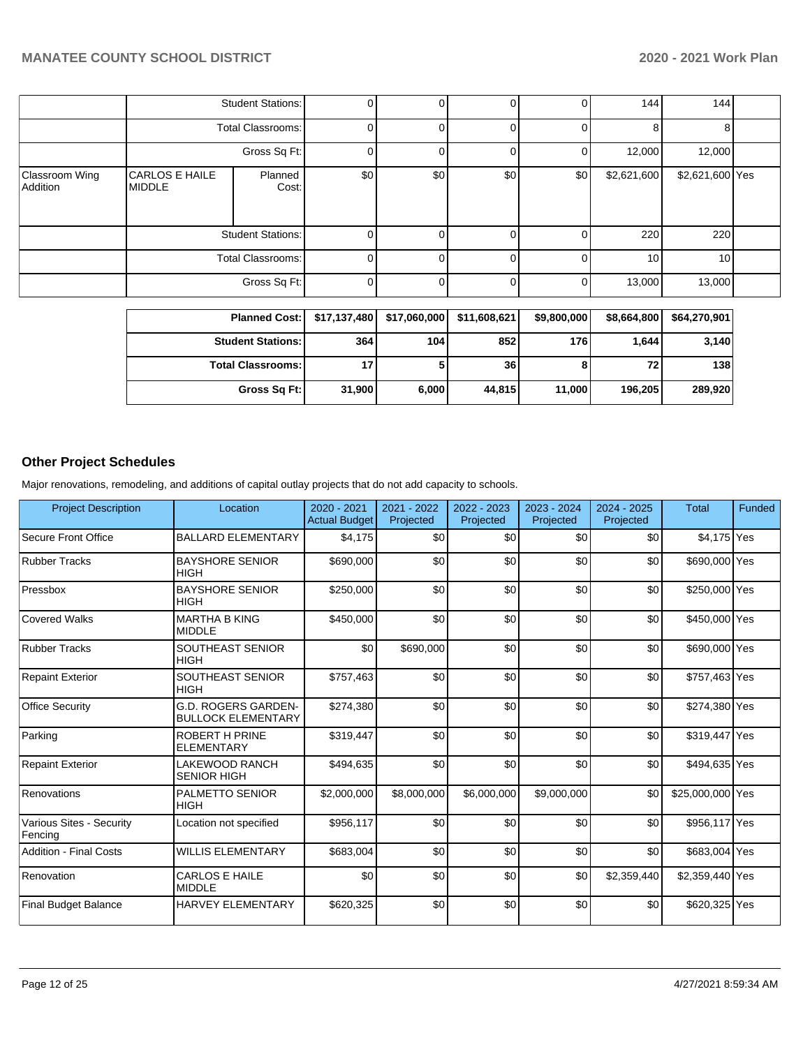|                            | <b>Student Stations:</b>               |                          | 0   |     | 0   | $\Omega$ | 144             | 144             |  |
|----------------------------|----------------------------------------|--------------------------|-----|-----|-----|----------|-----------------|-----------------|--|
|                            | Total Classrooms:                      |                          | 0   |     |     | 01       | 8               |                 |  |
|                            | Gross Sq Ft:                           |                          | 0   |     |     | 01       | 12,000          | 12,000          |  |
| Classroom Wing<br>Addition | <b>CARLOS E HAILE</b><br><b>MIDDLE</b> | Planned<br>Cost:         | \$0 | \$0 | \$0 | \$0      | \$2,621,600     | \$2,621,600 Yes |  |
|                            |                                        | <b>Student Stations:</b> | 0   |     |     | 01       | 220             | 220             |  |
|                            | <b>Total Classrooms:</b>               |                          | 0   |     | 0   | 01       | 10 <sup>1</sup> | 10              |  |
|                            |                                        | Gross Sq Ft:             | 0   |     | 0   | 01       | 13,000          | 13,000          |  |

| <b>Planned Cost:</b>       |        | \$17,137,480 \$17,060,000 | \$11,608,621 | \$9,800,000 | \$8,664,800 | \$64,270,901 |
|----------------------------|--------|---------------------------|--------------|-------------|-------------|--------------|
| <b>Student Stations:</b>   | 364    | 104                       | 852          | 176 I       | 1.644       | 3,140        |
| <b>Total Classrooms: I</b> |        |                           | 36           | ö           | 72          | 138          |
| Gross Sq Ft:               | 31,900 | 6,000                     | 44.815       | 11.000      | 196,205     | 289,920      |

# **Other Project Schedules**

Major renovations, remodeling, and additions of capital outlay projects that do not add capacity to schools.

| <b>Project Description</b>          | Location                                         | 2020 - 2021<br><b>Actual Budget</b> | 2021 - 2022<br>Projected | 2022 - 2023<br>Projected | 2023 - 2024<br>Projected | 2024 - 2025<br>Projected | <b>Total</b>     | Funded |
|-------------------------------------|--------------------------------------------------|-------------------------------------|--------------------------|--------------------------|--------------------------|--------------------------|------------------|--------|
| Secure Front Office                 | <b>BALLARD ELEMENTARY</b>                        | \$4,175                             | \$0                      | \$0                      | \$0                      | \$0                      | \$4,175 Yes      |        |
| <b>Rubber Tracks</b>                | <b>BAYSHORE SENIOR</b><br><b>HIGH</b>            | \$690,000                           | \$0                      | \$0                      | \$0                      | \$0                      | \$690,000 Yes    |        |
| Pressbox                            | <b>BAYSHORE SENIOR</b><br><b>HIGH</b>            | \$250,000                           | \$0                      | \$0                      | \$0                      | \$0                      | \$250,000 Yes    |        |
| Covered Walks                       | <b>MARTHA B KING</b><br><b>MIDDLE</b>            | \$450,000                           | \$0                      | \$0                      | \$0                      | \$0                      | \$450,000 Yes    |        |
| <b>Rubber Tracks</b>                | <b>SOUTHEAST SENIOR</b><br><b>HIGH</b>           | \$0                                 | \$690,000                | \$0                      | \$0                      | \$0                      | \$690,000 Yes    |        |
| <b>Repaint Exterior</b>             | <b>SOUTHEAST SENIOR</b><br><b>HIGH</b>           | \$757,463                           | \$0                      | \$0                      | \$0                      | \$0                      | \$757,463 Yes    |        |
| <b>Office Security</b>              | G.D. ROGERS GARDEN-<br><b>BULLOCK ELEMENTARY</b> | \$274,380                           | \$0                      | \$0                      | \$0                      | \$0                      | \$274,380 Yes    |        |
| Parking                             | <b>ROBERT H PRINE</b><br><b>ELEMENTARY</b>       | \$319,447                           | \$0                      | \$0                      | \$0                      | \$0                      | \$319,447 Yes    |        |
| <b>Repaint Exterior</b>             | LAKEWOOD RANCH<br><b>SENIOR HIGH</b>             | \$494,635                           | \$0                      | \$0                      | \$0                      | \$0                      | \$494,635 Yes    |        |
| Renovations                         | <b>PALMETTO SENIOR</b><br><b>HIGH</b>            | \$2,000,000                         | \$8,000,000              | \$6,000,000              | \$9,000,000              | \$0                      | \$25,000,000 Yes |        |
| Various Sites - Security<br>Fencing | Location not specified                           | \$956,117                           | \$0                      | \$0                      | \$0                      | \$0                      | \$956,117 Yes    |        |
| <b>Addition - Final Costs</b>       | <b>WILLIS ELEMENTARY</b>                         | \$683,004                           | \$0                      | \$0                      | \$0                      | \$0                      | \$683,004 Yes    |        |
| Renovation                          | <b>CARLOS E HAILE</b><br><b>MIDDLE</b>           | \$0                                 | \$0                      | \$0                      | \$0                      | \$2,359,440              | \$2,359,440 Yes  |        |
| <b>Final Budget Balance</b>         | <b>HARVEY ELEMENTARY</b>                         | \$620,325                           | \$0                      | \$0                      | \$0                      | \$0                      | \$620,325 Yes    |        |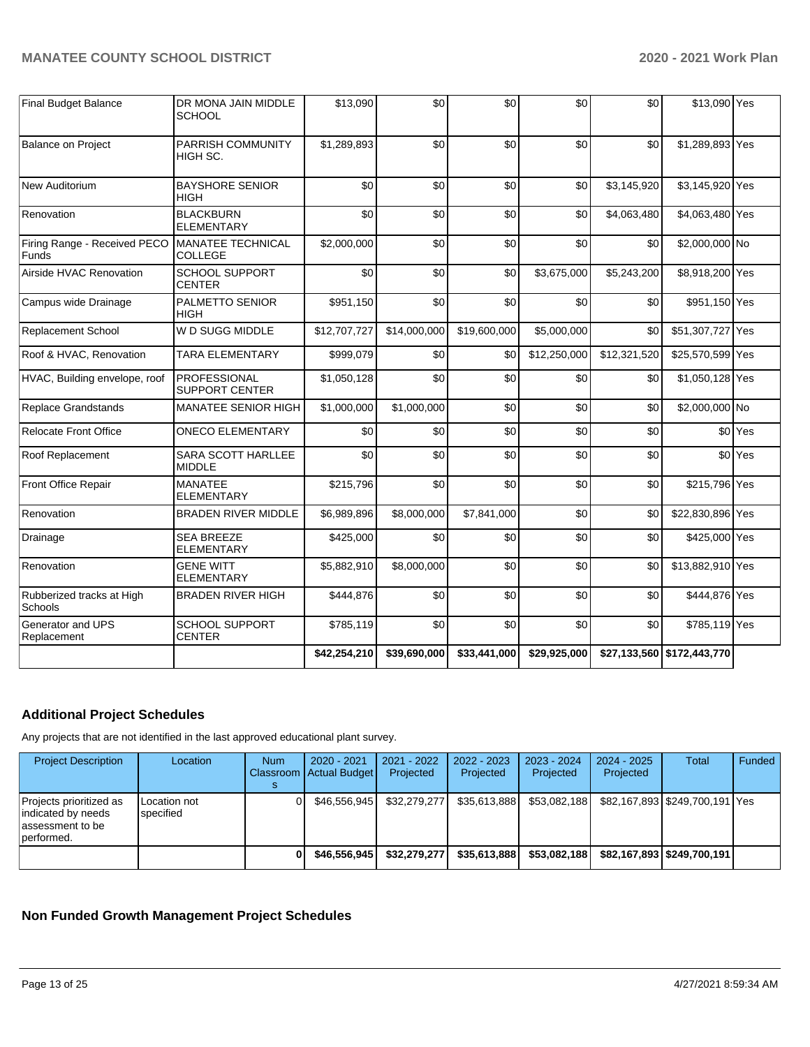| <b>Final Budget Balance</b>           | DR MONA JAIN MIDDLE<br><b>SCHOOL</b>         | \$13,090     | \$0          | \$0          | \$0          | \$0          | \$13,090 Yes               |                    |
|---------------------------------------|----------------------------------------------|--------------|--------------|--------------|--------------|--------------|----------------------------|--------------------|
| <b>Balance on Project</b>             | PARRISH COMMUNITY<br>HIGH SC.                | \$1,289,893  | \$0          | \$0          | \$0          | \$0          | \$1,289,893 Yes            |                    |
| New Auditorium                        | <b>BAYSHORE SENIOR</b><br>HIGH               | \$0          | \$0          | \$0          | \$0          | \$3,145,920  | \$3,145,920 Yes            |                    |
| Renovation                            | <b>BLACKBURN</b><br><b>ELEMENTARY</b>        | \$0          | \$0          | \$0          | \$0          | \$4,063,480  | \$4,063,480 Yes            |                    |
| Firing Range - Received PECO<br>Funds | <b>MANATEE TECHNICAL</b><br><b>COLLEGE</b>   | \$2,000,000  | \$0          | \$0          | \$0          | \$0          | \$2,000,000 No             |                    |
| Airside HVAC Renovation               | SCHOOL SUPPORT<br><b>CENTER</b>              | \$0          | \$0          | \$0          | \$3,675,000  | \$5,243,200  | \$8,918,200 Yes            |                    |
| Campus wide Drainage                  | <b>PALMETTO SENIOR</b><br><b>HIGH</b>        | \$951,150    | \$0          | \$0          | \$0          | \$0          | \$951,150 Yes              |                    |
| <b>Replacement School</b>             | W D SUGG MIDDLE                              | \$12,707,727 | \$14,000,000 | \$19,600,000 | \$5,000,000  | \$0          | \$51,307,727 Yes           |                    |
| Roof & HVAC, Renovation               | <b>TARA ELEMENTARY</b>                       | \$999,079    | \$0          | \$0          | \$12,250,000 | \$12,321,520 | \$25,570,599 Yes           |                    |
| HVAC, Building envelope, roof         | <b>PROFESSIONAL</b><br><b>SUPPORT CENTER</b> | \$1,050,128  | \$0          | \$0          | \$0          | \$0          | \$1,050,128 Yes            |                    |
| Replace Grandstands                   | <b>MANATEE SENIOR HIGH</b>                   | \$1,000,000  | \$1,000,000  | \$0          | \$0          | \$0          | \$2,000,000 No             |                    |
| <b>Relocate Front Office</b>          | <b>ONECO ELEMENTARY</b>                      | \$0          | \$0          | \$0          | \$0          | \$0          |                            | \$0 Yes            |
| Roof Replacement                      | SARA SCOTT HARLLEE<br><b>MIDDLE</b>          | \$0          | \$0          | \$0          | \$0          | \$0          |                            | \$0 <sup>Yes</sup> |
| Front Office Repair                   | <b>MANATEE</b><br><b>ELEMENTARY</b>          | \$215,796    | \$0          | \$0          | \$0          | \$0          | \$215,796 Yes              |                    |
| Renovation                            | <b>BRADEN RIVER MIDDLE</b>                   | \$6,989,896  | \$8,000,000  | \$7,841,000  | \$0          | \$0          | \$22,830,896 Yes           |                    |
| Drainage                              | <b>SEA BREEZE</b><br><b>ELEMENTARY</b>       | \$425,000    | \$0          | \$0          | \$0          | \$0          | \$425,000 Yes              |                    |
| Renovation                            | <b>GENE WITT</b><br><b>ELEMENTARY</b>        | \$5,882,910  | \$8,000,000  | \$0          | \$0          | \$0          | \$13,882,910 Yes           |                    |
| Rubberized tracks at High<br>Schools  | <b>BRADEN RIVER HIGH</b>                     | \$444,876    | \$0          | \$0          | \$0          | \$0          | \$444,876 Yes              |                    |
| Generator and UPS<br>Replacement      | SCHOOL SUPPORT<br><b>CENTER</b>              | \$785,119    | \$0          | \$0          | \$0          | \$0          | \$785,119 Yes              |                    |
|                                       |                                              | \$42,254,210 | \$39,690,000 | \$33,441,000 | \$29,925,000 |              | \$27,133,560 \$172,443,770 |                    |

# **Additional Project Schedules**

Any projects that are not identified in the last approved educational plant survey.

| <b>Project Description</b>                                                        | Location                  | <b>Num</b> | 2020 - 2021<br>Classroom Actual Budget | 2021 - 2022<br>Projected | 2022 - 2023<br>Projected | 2023 - 2024<br>Projected | $2024 - 2025$<br>Projected | Total                        | Funded |
|-----------------------------------------------------------------------------------|---------------------------|------------|----------------------------------------|--------------------------|--------------------------|--------------------------|----------------------------|------------------------------|--------|
| Projects prioritized as<br>indicated by needs<br>lassessment to be<br>lperformed. | Location not<br>specified |            | \$46.556.945                           | \$32,279,277             | \$35.613.888             | \$53.082.188             |                            |                              |        |
|                                                                                   |                           |            | \$46,556,945                           | \$32,279,277             | \$35.613.888             | \$53,082,188             |                            | \$82,167,893   \$249,700,191 |        |

# **Non Funded Growth Management Project Schedules**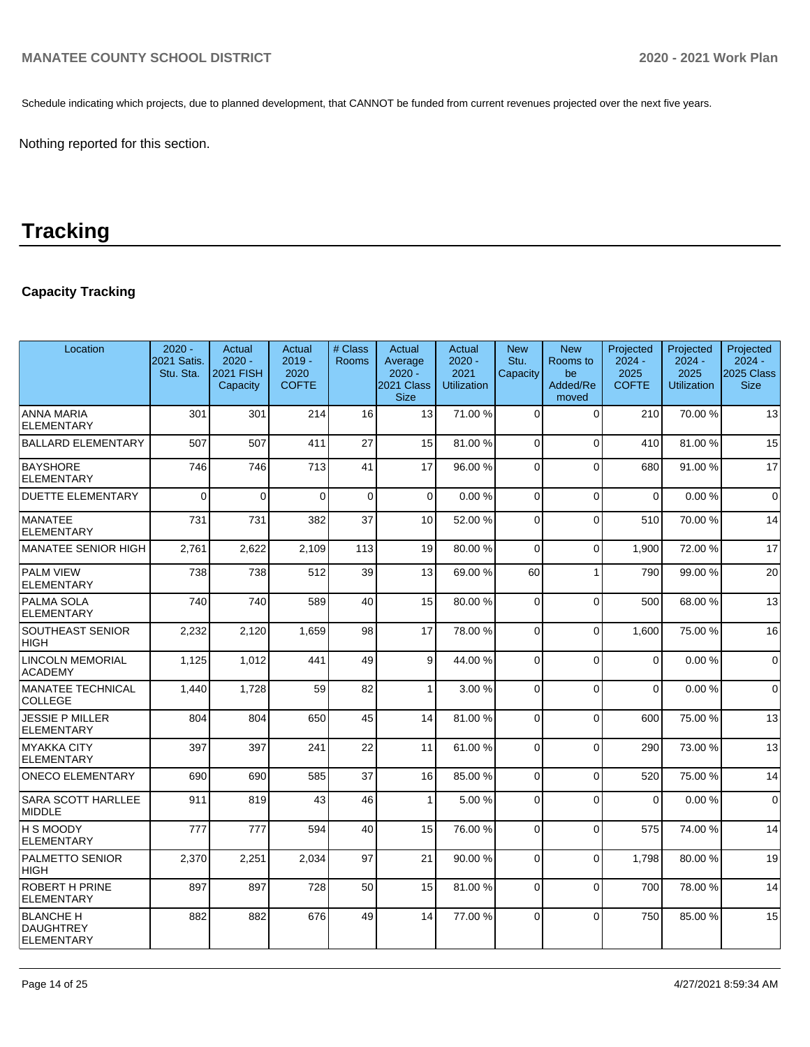Schedule indicating which projects, due to planned development, that CANNOT be funded from current revenues projected over the next five years.

Nothing reported for this section.

# **Tracking**

# **Capacity Tracking**

| Location                                                  | $2020 -$<br>2021 Satis.<br>Stu. Sta. | Actual<br>$2020 -$<br><b>2021 FISH</b><br>Capacity | Actual<br>$2019 -$<br>2020<br><b>COFTE</b> | # Class<br><b>Rooms</b> | Actual<br>Average<br>$2020 -$<br>2021 Class<br><b>Size</b> | Actual<br>$2020 -$<br>2021<br><b>Utilization</b> | <b>New</b><br>Stu.<br>Capacity | <b>New</b><br>Rooms to<br>be<br>Added/Re<br>moved | Projected<br>$2024 -$<br>2025<br><b>COFTE</b> | Projected<br>$2024 -$<br>2025<br><b>Utilization</b> | Projected<br>$2024 -$<br>2025 Class<br><b>Size</b> |
|-----------------------------------------------------------|--------------------------------------|----------------------------------------------------|--------------------------------------------|-------------------------|------------------------------------------------------------|--------------------------------------------------|--------------------------------|---------------------------------------------------|-----------------------------------------------|-----------------------------------------------------|----------------------------------------------------|
| <b>ANNA MARIA</b><br><b>ELEMENTARY</b>                    | 301                                  | 301                                                | 214                                        | 16                      | 13                                                         | 71.00 %                                          | $\Omega$                       | $\Omega$                                          | 210                                           | 70.00 %                                             | 13                                                 |
| <b>BALLARD ELEMENTARY</b>                                 | 507                                  | 507                                                | 411                                        | 27                      | 15                                                         | 81.00%                                           | $\Omega$                       | $\Omega$                                          | 410                                           | 81.00%                                              | 15                                                 |
| <b>BAYSHORE</b><br><b>ELEMENTARY</b>                      | 746                                  | 746                                                | 713                                        | 41                      | 17                                                         | 96.00 %                                          | 0                              | $\Omega$                                          | 680                                           | 91.00 %                                             | 17                                                 |
| <b>DUETTE ELEMENTARY</b>                                  | $\Omega$                             | $\overline{0}$                                     | $\Omega$                                   | $\mathbf 0$             | $\mathbf 0$                                                | 0.00%                                            | 0                              | $\Omega$                                          | 0                                             | 0.00%                                               | $\mathbf 0$                                        |
| <b>MANATEE</b><br><b>ELEMENTARY</b>                       | 731                                  | 731                                                | 382                                        | 37                      | 10                                                         | 52.00 %                                          | $\Omega$                       | $\Omega$                                          | 510                                           | 70.00 %                                             | 14                                                 |
| <b>MANATEE SENIOR HIGH</b>                                | 2,761                                | 2,622                                              | 2,109                                      | 113                     | 19                                                         | 80.00%                                           | $\Omega$                       | $\Omega$                                          | 1.900                                         | 72.00 %                                             | 17                                                 |
| <b>PALM VIEW</b><br><b>ELEMENTARY</b>                     | 738                                  | 738                                                | 512                                        | 39                      | 13                                                         | 69.00 %                                          | 60                             | 1                                                 | 790                                           | 99.00 %                                             | 20                                                 |
| <b>PALMA SOLA</b><br><b>ELEMENTARY</b>                    | 740                                  | 740                                                | 589                                        | 40                      | 15                                                         | 80.00%                                           | $\Omega$                       | $\Omega$                                          | 500                                           | 68.00 %                                             | 13                                                 |
| SOUTHEAST SENIOR<br><b>HIGH</b>                           | 2,232                                | 2,120                                              | 1,659                                      | 98                      | 17                                                         | 78.00 %                                          | $\mathbf 0$                    | $\Omega$                                          | 1,600                                         | 75.00 %                                             | 16                                                 |
| <b>LINCOLN MEMORIAL</b><br><b>ACADEMY</b>                 | 1,125                                | 1,012                                              | 441                                        | 49                      | 9                                                          | 44.00 %                                          | 0                              | $\Omega$                                          | $\Omega$                                      | 0.00%                                               | $\mathbf 0$                                        |
| <b>MANATEE TECHNICAL</b><br><b>COLLEGE</b>                | 1,440                                | 1,728                                              | 59                                         | 82                      | $\mathbf{1}$                                               | 3.00 %                                           | $\mathbf 0$                    | $\Omega$                                          | $\Omega$                                      | 0.00%                                               | $\Omega$                                           |
| <b>JESSIE P MILLER</b><br><b>ELEMENTARY</b>               | 804                                  | 804                                                | 650                                        | 45                      | 14                                                         | 81.00%                                           | 0                              | $\Omega$                                          | 600                                           | 75.00 %                                             | 13                                                 |
| <b>MYAKKA CITY</b><br><b>ELEMENTARY</b>                   | 397                                  | 397                                                | 241                                        | 22                      | 11                                                         | 61.00%                                           | $\Omega$                       | $\Omega$                                          | 290                                           | 73.00 %                                             | 13                                                 |
| <b>ONECO ELEMENTARY</b>                                   | 690                                  | 690                                                | 585                                        | 37                      | 16                                                         | 85.00 %                                          | $\mathbf 0$                    | $\Omega$                                          | 520                                           | 75.00 %                                             | 14                                                 |
| <b>SARA SCOTT HARLLEE</b><br><b>MIDDLE</b>                | 911                                  | 819                                                | 43                                         | 46                      | $\mathbf{1}$                                               | 5.00 %                                           | 0                              | $\Omega$                                          | $\Omega$                                      | 0.00%                                               | $\Omega$                                           |
| <b>H S MOODY</b><br><b>ELEMENTARY</b>                     | 777                                  | 777                                                | 594                                        | 40                      | 15                                                         | 76.00 %                                          | $\Omega$                       | $\Omega$                                          | 575                                           | 74.00 %                                             | 14                                                 |
| PALMETTO SENIOR<br><b>HIGH</b>                            | 2,370                                | 2,251                                              | 2,034                                      | 97                      | 21                                                         | 90.00 %                                          | $\Omega$                       | $\Omega$                                          | 1.798                                         | 80.00%                                              | 19                                                 |
| <b>ROBERT H PRINE</b><br><b>ELEMENTARY</b>                | 897                                  | 897                                                | 728                                        | 50                      | 15                                                         | 81.00%                                           | $\Omega$                       | $\Omega$                                          | 700                                           | 78.00 %                                             | 14                                                 |
| <b>BLANCHE H</b><br><b>DAUGHTREY</b><br><b>ELEMENTARY</b> | 882                                  | 882                                                | 676                                        | 49                      | 14                                                         | 77.00 %                                          | $\Omega$                       | $\Omega$                                          | 750                                           | 85.00 %                                             | 15                                                 |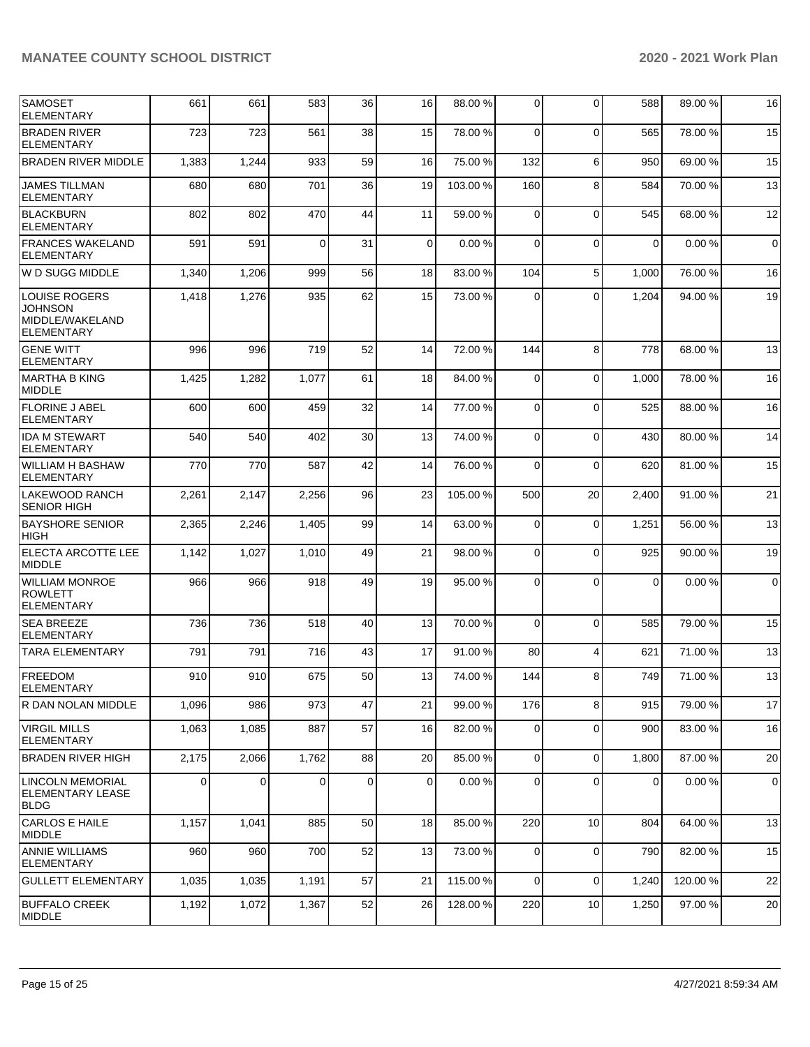| <b>SAMOSET</b><br><b>ELEMENTARY</b>                                            | 661         | 661   | 583      | 36 | 16          | 88.00 %  | 0              | $\Omega$       | 588         | 89.00 % | 16          |
|--------------------------------------------------------------------------------|-------------|-------|----------|----|-------------|----------|----------------|----------------|-------------|---------|-------------|
| <b>BRADEN RIVER</b><br><b>ELEMENTARY</b>                                       | 723         | 723   | 561      | 38 | 15          | 78.00 %  | $\mathbf 0$    | $\Omega$       | 565         | 78.00 % | 15          |
| <b>BRADEN RIVER MIDDLE</b>                                                     | 1,383       | 1,244 | 933      | 59 | 16          | 75.00 %  | 132            | 6              | 950         | 69.00 % | 15          |
| <b>JAMES TILLMAN</b><br><b>ELEMENTARY</b>                                      | 680         | 680   | 701      | 36 | 19          | 103.00%  | 160            | 8              | 584         | 70.00 % | 13          |
| <b>BLACKBURN</b><br><b>ELEMENTARY</b>                                          | 802         | 802   | 470      | 44 | 11          | 59.00 %  | $\mathbf 0$    | $\Omega$       | 545         | 68.00 % | 12          |
| <b>FRANCES WAKELAND</b><br><b>ELEMENTARY</b>                                   | 591         | 591   | $\Omega$ | 31 | $\mathbf 0$ | 0.00%    | $\mathbf 0$    | $\Omega$       | $\mathbf 0$ | 0.00%   | $\mathbf 0$ |
| W D SUGG MIDDLE                                                                | 1,340       | 1,206 | 999      | 56 | 18          | 83.00 %  | 104            | 5              | 1,000       | 76.00 % | 16          |
| <b>LOUISE ROGERS</b><br><b>JOHNSON</b><br>MIDDLE/WAKELAND<br><b>ELEMENTARY</b> | 1,418       | 1,276 | 935      | 62 | 15          | 73.00 %  | 0              | $\Omega$       | 1,204       | 94.00 % | 19          |
| <b>GENE WITT</b><br><b>ELEMENTARY</b>                                          | 996         | 996   | 719      | 52 | 14          | 72.00 %  | 144            | 8              | 778         | 68.00 % | 13          |
| IMARTHA B KING<br><b>MIDDLE</b>                                                | 1,425       | 1,282 | 1,077    | 61 | 18          | 84.00 %  | $\mathbf 0$    | $\Omega$       | 1,000       | 78.00 % | 16          |
| FLORINE J ABEL<br><b>ELEMENTARY</b>                                            | 600         | 600   | 459      | 32 | 14          | 77.00 %  | 0              | $\mathbf 0$    | 525         | 88.00 % | 16          |
| <b>IDA M STEWART</b><br><b>ELEMENTARY</b>                                      | 540         | 540   | 402      | 30 | 13          | 74.00 %  | 0              | $\Omega$       | 430         | 80.00%  | 14          |
| WILLIAM H BASHAW<br><b>ELEMENTARY</b>                                          | 770         | 770   | 587      | 42 | 14          | 76.00 %  | $\mathbf 0$    | $\Omega$       | 620         | 81.00 % | 15          |
| <b>LAKEWOOD RANCH</b><br><b>SENIOR HIGH</b>                                    | 2,261       | 2,147 | 2,256    | 96 | 23          | 105.00 % | 500            | 20             | 2,400       | 91.00 % | 21          |
| <b>BAYSHORE SENIOR</b><br><b>HIGH</b>                                          | 2,365       | 2,246 | 1,405    | 99 | 14          | 63.00 %  | 0              | $\mathbf 0$    | 1,251       | 56.00 % | 13          |
| ELECTA ARCOTTE LEE<br><b>MIDDLE</b>                                            | 1,142       | 1,027 | 1,010    | 49 | 21          | 98.00 %  | 0              | $\Omega$       | 925         | 90.00 % | 19          |
| <b>WILLIAM MONROE</b><br><b>ROWLETT</b><br><b>ELEMENTARY</b>                   | 966         | 966   | 918      | 49 | 19          | 95.00 %  | 0              | $\Omega$       | 0           | 0.00%   | $\mathbf 0$ |
| <b>SEA BREEZE</b><br><b>ELEMENTARY</b>                                         | 736         | 736   | 518      | 40 | 13          | 70.00 %  | $\mathbf 0$    | $\Omega$       | 585         | 79.00 % | 15          |
| <b>TARA ELEMENTARY</b>                                                         | 791         | 791   | 716      | 43 | 17          | 91.00 %  | 80             | $\overline{4}$ | 621         | 71.00 % | 13          |
| <b>FREEDOM</b><br>ELEMENTARY                                                   | 910         | 910   | 675      | 50 | 13          | 74.00 %  | 144            | 8              | 749         | 71.00 % | 13          |
| R DAN NOLAN MIDDLE                                                             | 1,096       | 986   | 973      | 47 | 21          | 99.00 %  | 176            | 8              | 915         | 79.00 % | 17          |
| <b>VIRGIL MILLS</b><br><b>ELEMENTARY</b>                                       | 1,063       | 1,085 | 887      | 57 | 16          | 82.00 %  | 0              | $\mathbf 0$    | 900         | 83.00 % | 16          |
| <b>BRADEN RIVER HIGH</b>                                                       | 2,175       | 2,066 | 1,762    | 88 | 20          | 85.00 %  | $\overline{0}$ | $\Omega$       | 1,800       | 87.00 % | 20          |
| <b>LINCOLN MEMORIAL</b><br><b>ELEMENTARY LEASE</b><br><b>BLDG</b>              | $\mathbf 0$ | 0     | 0        | 0  | $\mathbf 0$ | 0.00%    | $\mathbf 0$    | $\Omega$       | 0           | 0.00%   | $\mathbf 0$ |
| CARLOS E HAILE<br><b>MIDDLE</b>                                                | 1,157       | 1,041 | 885      | 50 | 18          | 85.00 %  | 220            | 10             | 804         | 64.00 % | 13          |
| <b>ANNIE WILLIAMS</b><br><b>ELEMENTARY</b>                                     | 960         | 960   | 700      | 52 | 13          | 73.00 %  | 0              | $\mathbf 0$    | 790         | 82.00 % | 15          |
| <b>GULLETT ELEMENTARY</b>                                                      | 1,035       | 1,035 | 1,191    | 57 | 21          | 115.00 % | 0              | $\Omega$       | 1,240       | 120.00% | 22          |
| <b>BUFFALO CREEK</b><br>MIDDLE                                                 | 1,192       | 1,072 | 1,367    | 52 | 26          | 128.00 % | 220            | 10             | 1,250       | 97.00 % | 20          |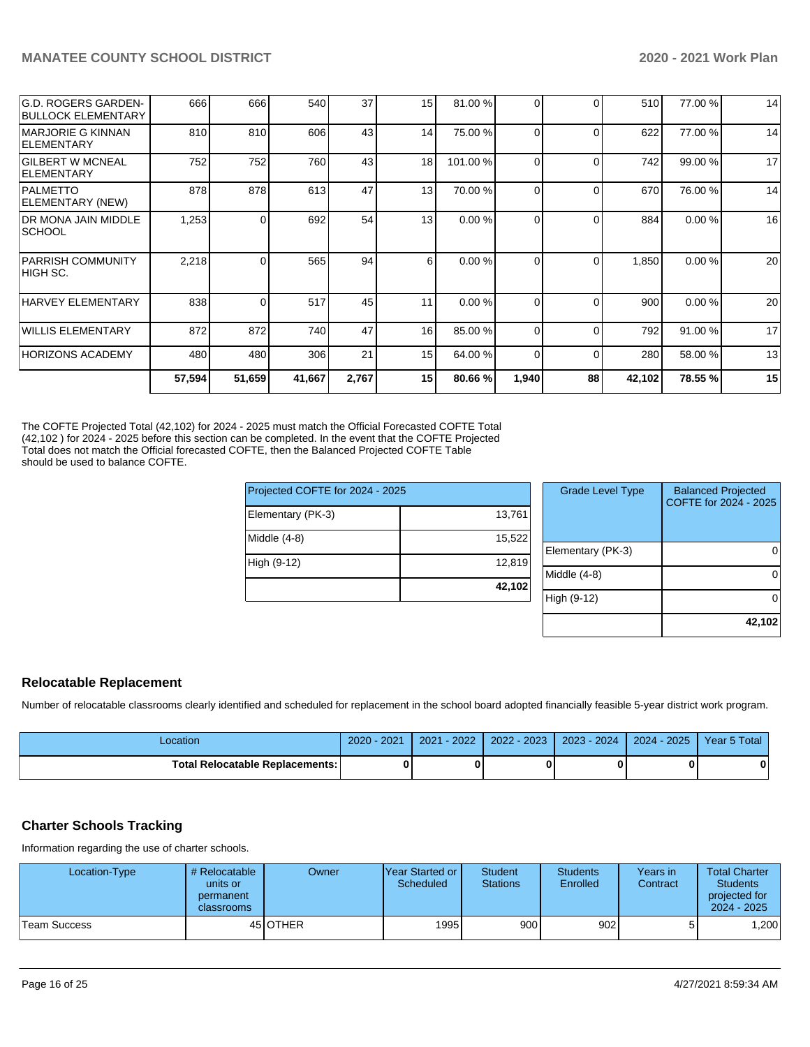| <b>G.D. ROGERS GARDEN-</b><br><b>BULLOCK ELEMENTARY</b> | 666    | 666      | 540    | 37              | 15 | 81.00 % | 0            | $\Omega$ | 510    | 77.00 % | 14 |
|---------------------------------------------------------|--------|----------|--------|-----------------|----|---------|--------------|----------|--------|---------|----|
| <b>IMARJORIE G KINNAN</b><br>ELEMENTARY                 | 810    | 810      | 606    | 43 <sub>l</sub> | 14 | 75.00 % | 0            | $\Omega$ | 622    | 77.00 % | 14 |
| <b>GILBERT W MCNEAL</b><br><b>IELEMENTARY</b>           | 752    | 752      | 760    | 43              | 18 | 101.00% | <sup>0</sup> | $\Omega$ | 742    | 99.00 % | 17 |
| <b>PALMETTO</b><br>ELEMENTARY (NEW)                     | 878    | 878      | 613    | 47              | 13 | 70.00 % | 0            | $\Omega$ | 670    | 76.00 % | 14 |
| <b>DR MONA JAIN MIDDLE</b><br> SCHOOL                   | 1,253  | 0        | 692    | 54              | 13 | 0.00%   | 0            | $\Omega$ | 884    | 0.00%   | 16 |
| <b>PARRISH COMMUNITY</b><br>IHIGH SC.                   | 2,218  | 0        | 565    | 94              | 6  | 0.00%   | 0            | $\Omega$ | 1,850  | 0.00%   | 20 |
| HARVEY ELEMENTARY                                       | 838    | $\Omega$ | 517    | 45              | 11 | 0.00%   | 0            | $\Omega$ | 900    | 0.00%   | 20 |
| WILLIS ELEMENTARY                                       | 872    | 872      | 740    | 47              | 16 | 85.00 % | <sup>0</sup> | $\Omega$ | 792    | 91.00 % | 17 |
| HORIZONS ACADEMY                                        | 480    | 480      | 306    | 21              | 15 | 64.00 % | 0            | $\Omega$ | 280    | 58.00 % | 13 |
|                                                         | 57,594 | 51,659   | 41,667 | 2,767           | 15 | 80.66 % | 1,940        | 88       | 42,102 | 78.55 % | 15 |
|                                                         |        |          |        |                 |    |         |              |          |        |         |    |

The COFTE Projected Total (42,102) for 2024 - 2025 must match the Official Forecasted COFTE Total (42,102 ) for 2024 - 2025 before this section can be completed. In the event that the COFTE Projected Total does not match the Official forecasted COFTE, then the Balanced Projected COFTE Table should be used to balance COFTE.

| Projected COFTE for 2024 - 2025 |        | <b>Grade Level Type</b> | <b>Balanced Projected</b><br>COFTE for 2024 - 2025 |
|---------------------------------|--------|-------------------------|----------------------------------------------------|
| Elementary (PK-3)               | 13,761 |                         |                                                    |
| Middle (4-8)                    | 15.522 |                         |                                                    |
|                                 |        | Elementary (PK-3)       | 01                                                 |
| High (9-12)                     | 12,819 |                         |                                                    |
|                                 |        | Middle (4-8)            | 01                                                 |
|                                 | 42,102 |                         |                                                    |
|                                 |        | High (9-12)             | 01                                                 |
|                                 |        |                         |                                                    |

## **Relocatable Replacement**

Number of relocatable classrooms clearly identified and scheduled for replacement in the school board adopted financially feasible 5-year district work program.

| Location                               | $2020 - 2021$ | 2021 - 2022 | 2022 - 2023 | $ 2023 - 2024 $ | 2024 - 2025 Year 5 Total |  |
|----------------------------------------|---------------|-------------|-------------|-----------------|--------------------------|--|
| <b>Total Relocatable Replacements:</b> |               |             |             |                 |                          |  |

## **Charter Schools Tracking**

Information regarding the use of charter schools.

| Location-Type | # Relocatable<br>units or<br>permanent<br>classrooms | Owner           | IYear Started or<br>Scheduled | <b>Student</b><br><b>Stations</b> | <b>Students</b><br>Enrolled | Years in<br>Contract | <b>Total Charter</b><br><b>Students</b><br>projected for<br>$2024 - 2025$ |
|---------------|------------------------------------------------------|-----------------|-------------------------------|-----------------------------------|-----------------------------|----------------------|---------------------------------------------------------------------------|
| Team Success  |                                                      | 45 <b>OTHER</b> | 1995                          | 900 <sup>1</sup>                  | 902 <sub>l</sub>            | 51                   | ,200                                                                      |

**42,102**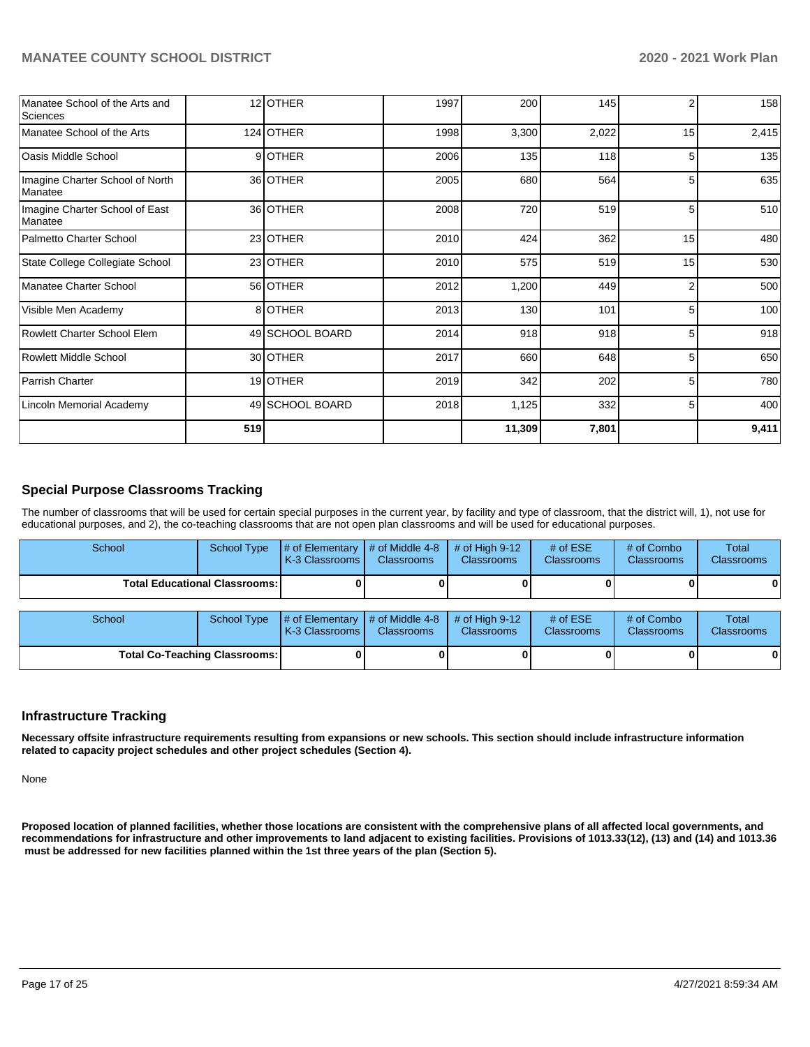| Manatee School of the Arts and<br>Sciences |     | 12 OTHER        | 1997 | 200    | 145   | 2  | 158   |
|--------------------------------------------|-----|-----------------|------|--------|-------|----|-------|
| Manatee School of the Arts                 |     | 124 OTHER       | 1998 | 3,300  | 2,022 | 15 | 2,415 |
| Oasis Middle School                        |     | 9OTHER          | 2006 | 135    | 118   | 5  | 135   |
| Imagine Charter School of North<br>Manatee |     | 36 OTHER        | 2005 | 680    | 564   | 5  | 635   |
| Imagine Charter School of East<br>Manatee  |     | 36 OTHER        | 2008 | 720    | 519   | 5  | 510   |
| Palmetto Charter School                    |     | 23 OTHER        | 2010 | 424    | 362   | 15 | 480   |
| State College Collegiate School            |     | 23 OTHER        | 2010 | 575    | 519   | 15 | 530   |
| Manatee Charter School                     |     | 56 OTHER        | 2012 | 1,200  | 449   | 2  | 500   |
| Visible Men Academy                        |     | 8 OTHER         | 2013 | 130    | 101   | 5  | 100   |
| Rowlett Charter School Elem                |     | 49 SCHOOL BOARD | 2014 | 918    | 918   | 5  | 918   |
| <b>Rowlett Middle School</b>               |     | 30 OTHER        | 2017 | 660    | 648   | 5  | 650   |
| Parrish Charter                            |     | 19 OTHER        | 2019 | 342    | 202   |    | 780   |
| Lincoln Memorial Academy                   |     | 49 SCHOOL BOARD | 2018 | 1,125  | 332   | 5  | 400   |
|                                            | 519 |                 |      | 11,309 | 7,801 |    | 9,411 |

# **Special Purpose Classrooms Tracking**

The number of classrooms that will be used for certain special purposes in the current year, by facility and type of classroom, that the district will, 1), not use for educational purposes, and 2), the co-teaching classrooms that are not open plan classrooms and will be used for educational purposes.

| School |                                        | School Type $\parallel \#$ of Elementary $\parallel \#$ of Middle 4-8 $\parallel \#$ of High 9-12<br>K-3 Classrooms I | <b>Classrooms</b> | <b>Classrooms</b> | # of $ESE$<br><b>Classrooms</b> | # of Combo<br><b>Classrooms</b> | Total<br><b>Classrooms</b> |
|--------|----------------------------------------|-----------------------------------------------------------------------------------------------------------------------|-------------------|-------------------|---------------------------------|---------------------------------|----------------------------|
|        | <b>Total Educational Classrooms: I</b> |                                                                                                                       |                   |                   |                                 | 01                              | 01                         |

| School |                                      | School Type $\frac{1}{4}$ of Elementary $\frac{1}{4}$ of Middle 4-8 $\frac{1}{4}$ of High 9-12<br><b>K-3 Classrooms I</b> | <b>Classrooms</b> | <b>Classrooms</b> | # of $ESE$<br><b>Classrooms</b> | # of Combo<br><b>Classrooms</b> | Total<br><b>Classrooms</b> |
|--------|--------------------------------------|---------------------------------------------------------------------------------------------------------------------------|-------------------|-------------------|---------------------------------|---------------------------------|----------------------------|
|        | <b>Total Co-Teaching Classrooms:</b> |                                                                                                                           | 01                |                   |                                 | 0                               | 01                         |

## **Infrastructure Tracking**

**Necessary offsite infrastructure requirements resulting from expansions or new schools. This section should include infrastructure information related to capacity project schedules and other project schedules (Section 4).** 

None

**Proposed location of planned facilities, whether those locations are consistent with the comprehensive plans of all affected local governments, and recommendations for infrastructure and other improvements to land adjacent to existing facilities. Provisions of 1013.33(12), (13) and (14) and 1013.36 must be addressed for new facilities planned within the 1st three years of the plan (Section 5).**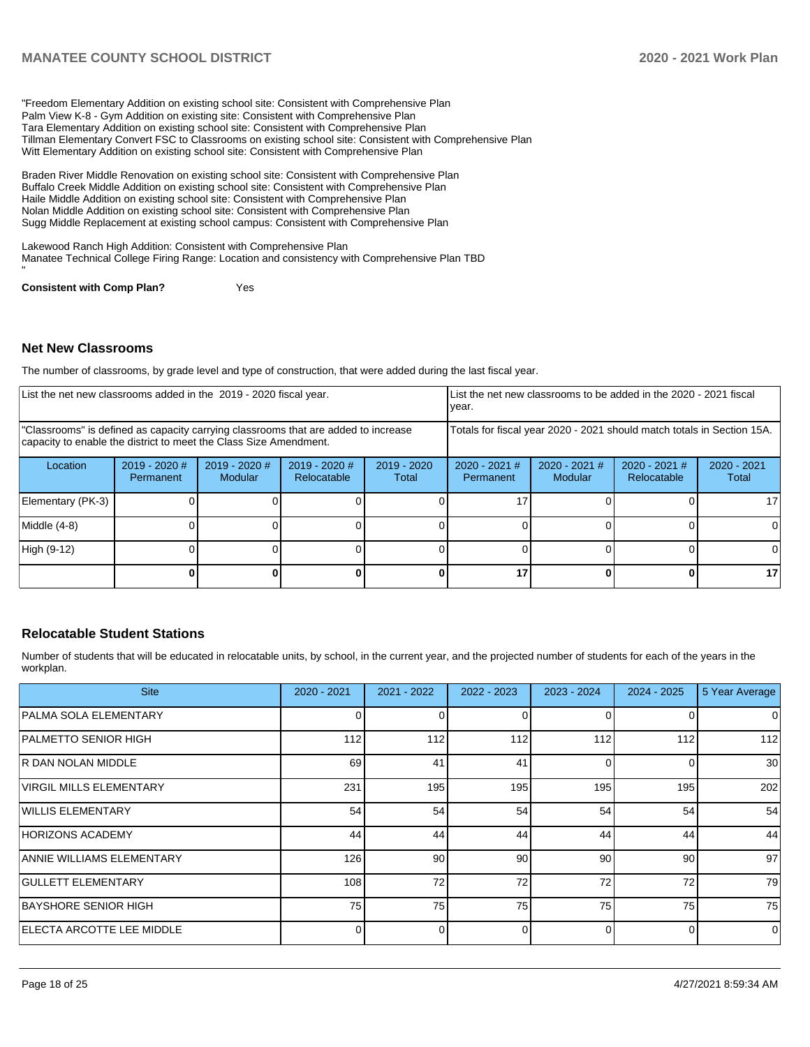"Freedom Elementary Addition on existing school site: Consistent with Comprehensive Plan Palm View K-8 - Gym Addition on existing site: Consistent with Comprehensive Plan Tara Elementary Addition on existing school site: Consistent with Comprehensive Plan Tillman Elementary Convert FSC to Classrooms on existing school site: Consistent with Comprehensive Plan Witt Elementary Addition on existing school site: Consistent with Comprehensive Plan

Braden River Middle Renovation on existing school site: Consistent with Comprehensive Plan Buffalo Creek Middle Addition on existing school site: Consistent with Comprehensive Plan Haile Middle Addition on existing school site: Consistent with Comprehensive Plan Nolan Middle Addition on existing school site: Consistent with Comprehensive Plan Sugg Middle Replacement at existing school campus: Consistent with Comprehensive Plan

Lakewood Ranch High Addition: Consistent with Comprehensive Plan Manatee Technical College Firing Range: Location and consistency with Comprehensive Plan TBD

**Consistent with Comp Plan?** Yes

## **Net New Classrooms**

"

The number of classrooms, by grade level and type of construction, that were added during the last fiscal year.

| List the net new classrooms added in the 2019 - 2020 fiscal year. |                                                                                                                                                         |                          |                              |                        | year.                                                                  | List the net new classrooms to be added in the 2020 - 2021 fiscal |                                       |                        |
|-------------------------------------------------------------------|---------------------------------------------------------------------------------------------------------------------------------------------------------|--------------------------|------------------------------|------------------------|------------------------------------------------------------------------|-------------------------------------------------------------------|---------------------------------------|------------------------|
|                                                                   | "Classrooms" is defined as capacity carrying classrooms that are added to increase<br>capacity to enable the district to meet the Class Size Amendment. |                          |                              |                        | Totals for fiscal year 2020 - 2021 should match totals in Section 15A. |                                                                   |                                       |                        |
| Location                                                          | $2019 - 2020$ #<br>Permanent                                                                                                                            | 2019 - 2020 #<br>Modular | 2019 - 2020 #<br>Relocatable | $2019 - 2020$<br>Total | $2020 - 2021$ #<br>Permanent                                           | $2020 - 2021$ #<br><b>Modular</b>                                 | $2020 - 2021$ #<br><b>Relocatable</b> | $2020 - 2021$<br>Total |
| Elementary (PK-3)                                                 |                                                                                                                                                         |                          |                              |                        |                                                                        |                                                                   |                                       | 17                     |
| Middle (4-8)                                                      |                                                                                                                                                         |                          |                              |                        |                                                                        |                                                                   |                                       |                        |
| High (9-12)                                                       |                                                                                                                                                         |                          |                              |                        |                                                                        |                                                                   |                                       |                        |
|                                                                   |                                                                                                                                                         |                          |                              |                        | 17                                                                     |                                                                   |                                       | 17                     |

## **Relocatable Student Stations**

Number of students that will be educated in relocatable units, by school, in the current year, and the projected number of students for each of the years in the workplan.

| <b>Site</b>                       | $2020 - 2021$ | $2021 - 2022$ | 2022 - 2023 | $2023 - 2024$ | $2024 - 2025$ | 5 Year Average |
|-----------------------------------|---------------|---------------|-------------|---------------|---------------|----------------|
| PALMA SOLA ELEMENTARY             |               |               |             |               |               | $\overline{0}$ |
| PALMETTO SENIOR HIGH              | 112           | 112           | 112         | 112           | 112           | 112            |
| IR DAN NOLAN MIDDLE               | 69            | 41            | 41          |               | 0             | 30             |
| <b>VIRGIL MILLS ELEMENTARY</b>    | 231           | 195           | 195         | 195           | 195           | 202            |
| WILLIS ELEMENTARY                 | 54            | 54            | 54          | 54            | 54            | 54             |
| <b>HORIZONS ACADEMY</b>           | 44            | 44            | 44          | 44            | 44            | 44             |
| ANNIE WILLIAMS ELEMENTARY         | 126           | 90            | 90          | 90            | 90            | 97             |
| <b>GULLETT ELEMENTARY</b>         | 108           | 72            | 72          | 72            | 72            | 79             |
| BAYSHORE SENIOR HIGH              | 75            | 75            | 75          | 75            | 75            | 75             |
| <b>IELECTA ARCOTTE LEE MIDDLE</b> |               |               |             |               | 0             | $\Omega$       |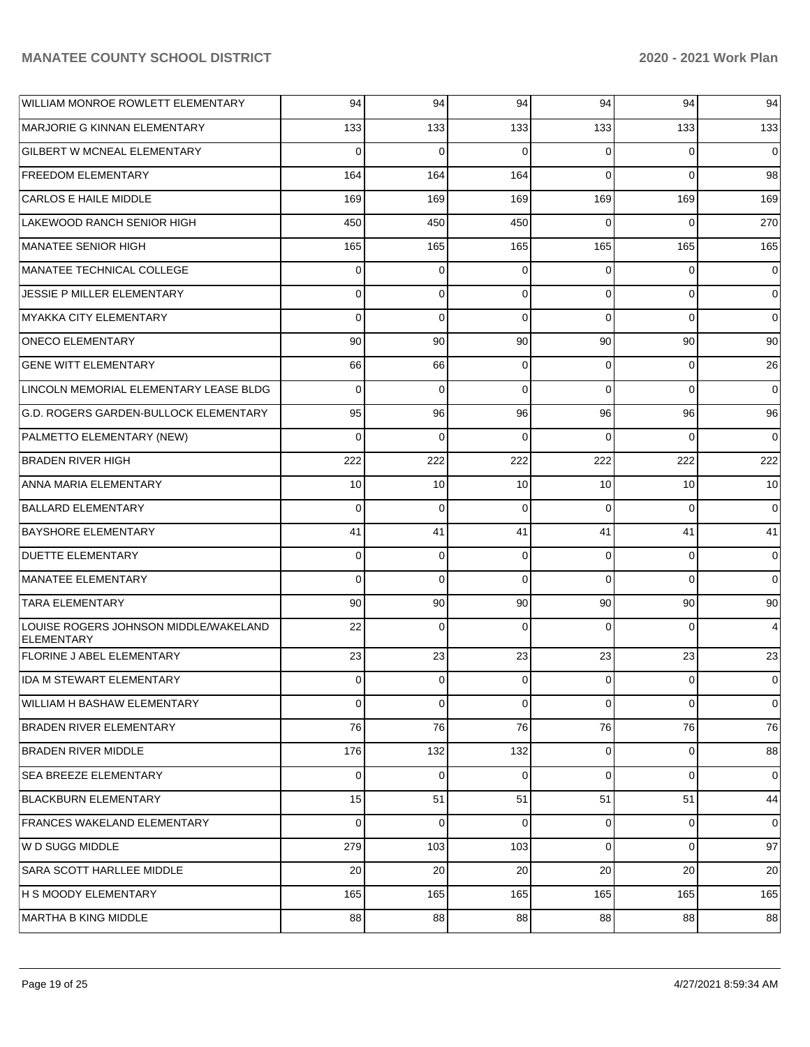| WILLIAM MONROE ROWLETT ELEMENTARY                   | 94          | 94           | 94             | 94             | 94          | 94             |
|-----------------------------------------------------|-------------|--------------|----------------|----------------|-------------|----------------|
| MARJORIE G KINNAN ELEMENTARY                        | 133         | 133          | 133            | 133            | 133         | 133            |
| <b>GILBERT W MCNEAL ELEMENTARY</b>                  | 0           | $\Omega$     | $\Omega$       | $\Omega$       | $\Omega$    | $\mathbf 0$    |
| FREEDOM ELEMENTARY                                  | 164         | 164          | 164            | $\Omega$       | $\Omega$    | 98             |
| <b>CARLOS E HAILE MIDDLE</b>                        | 169         | 169          | 169            | 169            | 169         | 169            |
| LAKEWOOD RANCH SENIOR HIGH                          | 450         | 450          | 450            | $\Omega$       | $\Omega$    | 270            |
| MANATEE SENIOR HIGH                                 | 165         | 165          | 165            | 165            | 165         | 165            |
| MANATEE TECHNICAL COLLEGE                           | $\Omega$    | $\mathbf 0$  | $\Omega$       | $\Omega$       | $\Omega$    | $\overline{0}$ |
| JESSIE P MILLER ELEMENTARY                          | 0           | 0            | $\Omega$       | $\Omega$       | $\Omega$    | $\overline{0}$ |
| MYAKKA CITY ELEMENTARY                              | $\Omega$    | $\mathbf 0$  | $\Omega$       | $\Omega$       | $\Omega$    | $\overline{0}$ |
| <b>ONECO ELEMENTARY</b>                             | 90          | 90           | 90             | 90             | 90          | 90             |
| <b>GENE WITT ELEMENTARY</b>                         | 66          | 66           | $\mathbf 0$    | $\Omega$       | $\Omega$    | 26             |
| LINCOLN MEMORIAL ELEMENTARY LEASE BLDG              | $\Omega$    | $\Omega$     | $\Omega$       | $\Omega$       | $\Omega$    | $\mathbf 0$    |
| G.D. ROGERS GARDEN-BULLOCK ELEMENTARY               | 95          | 96           | 96             | 96             | 96          | 96             |
| PALMETTO ELEMENTARY (NEW)                           | $\Omega$    | $\Omega$     | $\Omega$       | $\Omega$       | $\Omega$    | $\Omega$       |
| BRADEN RIVER HIGH                                   | 222         | 222          | 222            | 222            | 222         | 222            |
| ANNA MARIA ELEMENTARY                               | 10          | 10           | 10             | 10             | 10          | 10             |
| <b>BALLARD ELEMENTARY</b>                           | $\Omega$    | $\mathbf 0$  | $\Omega$       | $\Omega$       | $\Omega$    | $\mathbf 0$    |
| <b>BAYSHORE ELEMENTARY</b>                          | 41          | 41           | 41             | 41             | 41          | 41             |
| <b>DUETTE ELEMENTARY</b>                            | $\Omega$    | $\mathbf 0$  | $\mathbf 0$    | $\Omega$       | $\Omega$    | 0              |
| MANATEE ELEMENTARY                                  | $\Omega$    | $\Omega$     | $\Omega$       | $\Omega$       | $\Omega$    | $\Omega$       |
| <b>TARA ELEMENTARY</b>                              | 90          | 90           | 90             | 90             | 90          | 90             |
| LOUISE ROGERS JOHNSON MIDDLE/WAKELAND<br>ELEMENTARY | 22          | $\Omega$     | $\Omega$       | $\Omega$       | $\Omega$    | 4              |
| <b>FLORINE J ABEL ELEMENTARY</b>                    | 23          | 23           | 23             | 23             | 23          | 23             |
| IDA M STEWART ELEMENTARY                            | 0           | 0            | 0              | $\overline{0}$ | $\mathbf 0$ | 0              |
| <b>WILLIAM H BASHAW ELEMENTARY</b>                  | $\Omega$    | $\mathbf 0$  | $\Omega$       | $\Omega$       | $\Omega$    | $\mathbf 0$    |
| <b>BRADEN RIVER ELEMENTARY</b>                      | 76          | 76           | 76             | 76             | 76          | 76             |
| <b>BRADEN RIVER MIDDLE</b>                          | 176         | 132          | 132            | $\overline{0}$ | $\mathbf 0$ | 88             |
| SEA BREEZE ELEMENTARY                               | $\mathbf 0$ | $\mathbf 0$  | $\overline{0}$ | $\overline{0}$ | $\mathbf 0$ | $\overline{0}$ |
| <b>BLACKBURN ELEMENTARY</b>                         | 15          | 51           | 51             | 51             | 51          | 44             |
| <b>FRANCES WAKELAND ELEMENTARY</b>                  | $\mathbf 0$ | $\mathbf{0}$ | $\Omega$       | $\overline{0}$ | $\mathbf 0$ | $\overline{0}$ |
| W D SUGG MIDDLE                                     | 279         | 103          | 103            | $\Omega$       | $\mathbf 0$ | 97             |
| SARA SCOTT HARLLEE MIDDLE                           | 20          | 20           | 20             | 20             | 20          | 20             |
| H S MOODY ELEMENTARY                                | 165         | 165          | 165            | 165            | 165         | 165            |
| MARTHA B KING MIDDLE                                | 88          | 88           | 88             | 88             | 88          | 88             |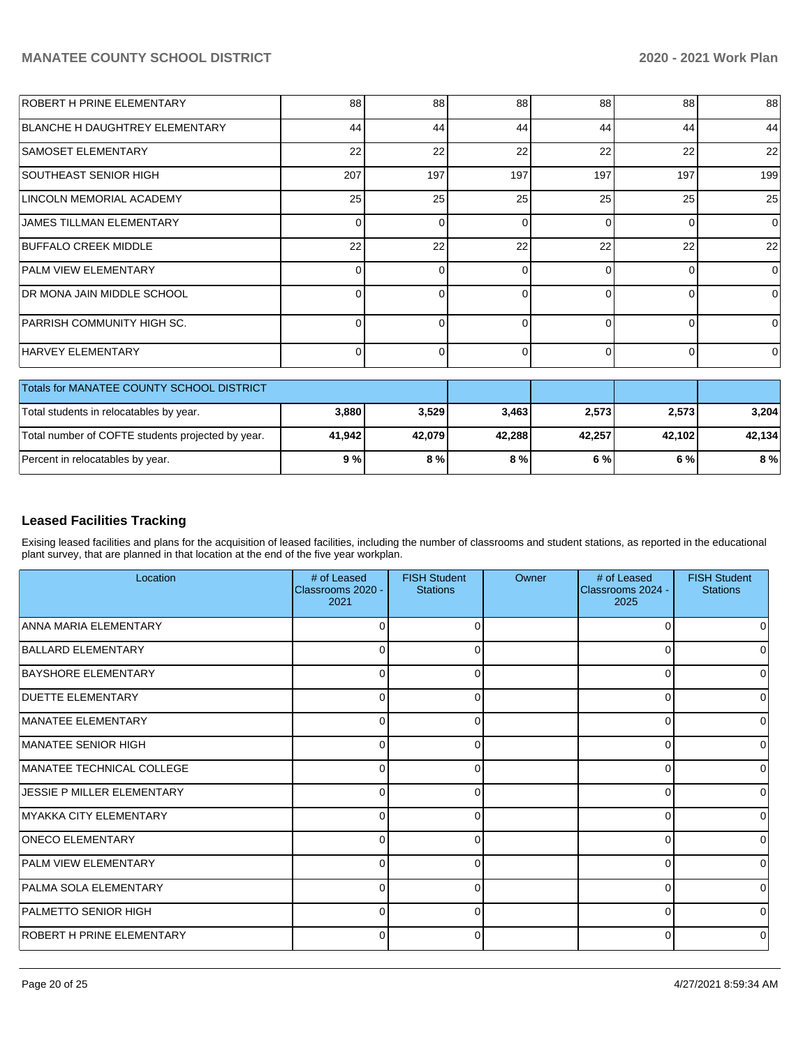| <b>ROBERT H PRINE ELEMENTARY</b>                  | 88       | 88       | 88       | 88       | 88             | 88       |
|---------------------------------------------------|----------|----------|----------|----------|----------------|----------|
| BLANCHE H DAUGHTREY ELEMENTARY                    | 44       | 44       | 44       | 44       | 44             | 44       |
| <b>SAMOSET ELEMENTARY</b>                         | 22       | 22       | 22       | 22       | 22             | 22       |
| <b>SOUTHEAST SENIOR HIGH</b>                      | 207      | 197      | 197      | 197      | 197            | 199      |
| LINCOLN MEMORIAL ACADEMY                          | 25       | 25       | 25       | 25       | 25             | 25       |
| <b>JAMES TILLMAN ELEMENTARY</b>                   | 0        | $\Omega$ | $\Omega$ | $\Omega$ | $\Omega$       | $\Omega$ |
| <b>BUFFALO CREEK MIDDLE</b>                       | 22       | 22       | 22       | 22       | 22             | 22       |
| <b>PALM VIEW ELEMENTARY</b>                       | 0        | $\Omega$ | $\Omega$ | $\Omega$ | $\Omega$       | $\Omega$ |
| DR MONA JAIN MIDDLE SCHOOL                        | 0        | $\Omega$ | $\Omega$ | $\Omega$ | $\Omega$       | $\Omega$ |
| PARRISH COMMUNITY HIGH SC.                        | 0        | $\Omega$ | $\Omega$ | $\Omega$ | $\Omega$       | $\Omega$ |
| <b>HARVEY ELEMENTARY</b>                          | $\Omega$ | 0        | $\Omega$ | $\Omega$ | $\overline{0}$ | 0        |
| Totals for MANATEE COUNTY SCHOOL DISTRICT         |          |          |          |          |                |          |
| Total students in relocatables by year.           | 3,880    | 3,529    | 3,463    | 2,573    | 2,573          | 3,204    |
| Total number of COFTE students projected by year. | 41,942   | 42,079   | 42,288   | 42,257   | 42,102         | 42,134   |
| Percent in relocatables by year.                  | 9%       | 8 %      | 8 %      | 6 %      | 6 %            | 8%       |

# **Leased Facilities Tracking**

Exising leased facilities and plans for the acquisition of leased facilities, including the number of classrooms and student stations, as reported in the educational plant survey, that are planned in that location at the end of the five year workplan.

| Location                          | # of Leased<br>Classrooms 2020 -<br>2021 | <b>FISH Student</b><br><b>Stations</b> | Owner | # of Leased<br>Classrooms 2024 -<br>2025 | <b>FISH Student</b><br><b>Stations</b> |
|-----------------------------------|------------------------------------------|----------------------------------------|-------|------------------------------------------|----------------------------------------|
| <b>ANNA MARIA ELEMENTARY</b>      | ∩                                        | ∩                                      |       | $\Omega$                                 | 0                                      |
| BALLARD ELEMENTARY                | ი                                        |                                        |       | $\Omega$                                 | 0                                      |
| <b>BAYSHORE ELEMENTARY</b>        | 0                                        | ∩                                      |       | $\Omega$                                 | O                                      |
| <b>DUETTE ELEMENTARY</b>          | $\Omega$                                 | ∩                                      |       | $\Omega$                                 | 0                                      |
| MANATEE ELEMENTARY                | $\Omega$                                 | O                                      |       | $\Omega$                                 | 0                                      |
| MANATEE SENIOR HIGH               | 0                                        | 0                                      |       | $\Omega$                                 | 0                                      |
| MANATEE TECHNICAL COLLEGE         | $\Omega$                                 | n                                      |       | $\Omega$                                 | $\Omega$                               |
| <b>JESSIE P MILLER ELEMENTARY</b> | 0                                        | 0                                      |       | $\Omega$                                 | 0                                      |
| MYAKKA CITY ELEMENTARY            | 0                                        | ∩                                      |       | $\Omega$                                 | 0                                      |
| <b>ONECO ELEMENTARY</b>           | U                                        |                                        |       | $\Omega$                                 | 0                                      |
| <b>PALM VIEW ELEMENTARY</b>       | 0                                        | <sup>0</sup>                           |       | $\Omega$                                 | 0                                      |
| PALMA SOLA ELEMENTARY             | 0                                        | $\Omega$                               |       | $\Omega$                                 | <sup>0</sup>                           |
| PALMETTO SENIOR HIGH              | 0                                        |                                        |       | $\Omega$                                 | 0                                      |
| <b>ROBERT H PRINE ELEMENTARY</b>  | 0                                        | 0                                      |       | 0                                        | 0                                      |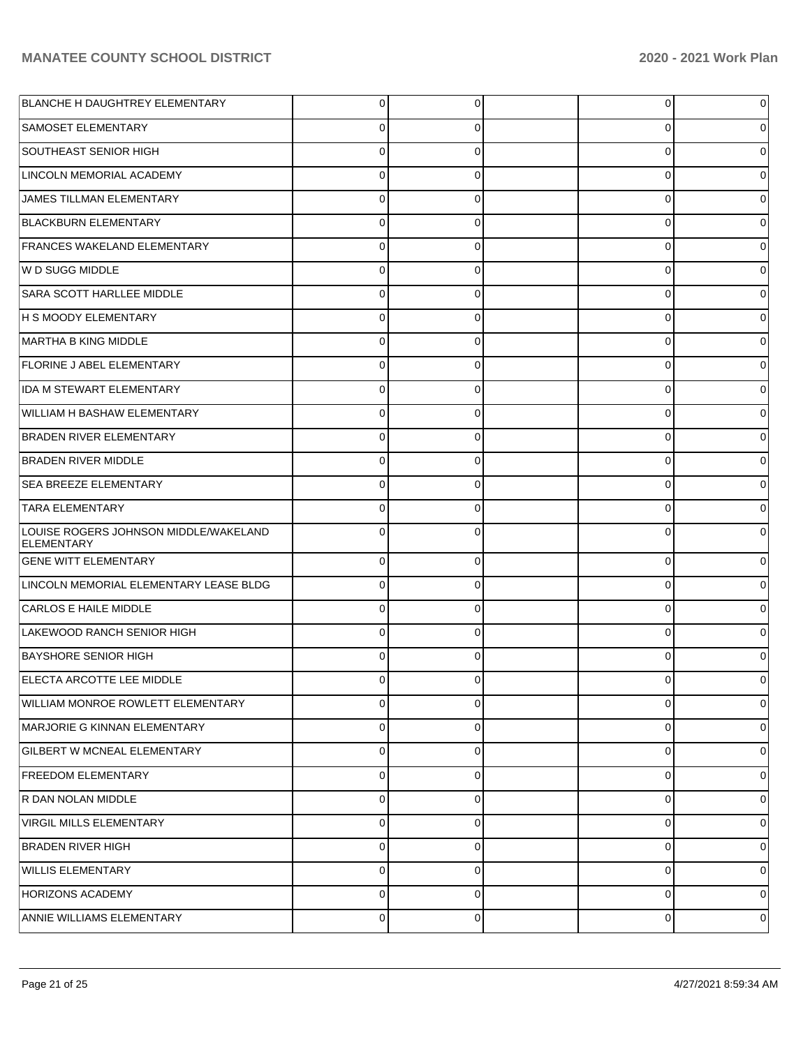| BLANCHE H DAUGHTREY ELEMENTARY                      | $\Omega$ | 0           | $\overline{0}$ |   |
|-----------------------------------------------------|----------|-------------|----------------|---|
| SAMOSET ELEMENTARY                                  | 0        | 0           | 0              |   |
| SOUTHEAST SENIOR HIGH                               | $\Omega$ | 0           | 0              |   |
| LINCOLN MEMORIAL ACADEMY                            | $\Omega$ | 0           | 0              |   |
| JAMES TILLMAN ELEMENTARY                            | $\Omega$ | 0           | 0              |   |
| <b>BLACKBURN ELEMENTARY</b>                         | 0        | 0           | 0              |   |
| <b>FRANCES WAKELAND ELEMENTARY</b>                  | $\Omega$ | 0           | 0              |   |
| W D SUGG MIDDLE                                     | $\Omega$ | 0           | 0              |   |
| SARA SCOTT HARLLEE MIDDLE                           | $\Omega$ | 0           | 0              |   |
| H S MOODY ELEMENTARY                                | 0        | 0           | 0              |   |
| MARTHA B KING MIDDLE                                | $\Omega$ | 0           | 0              |   |
| <b>FLORINE J ABEL ELEMENTARY</b>                    | $\Omega$ | 0           | 0              |   |
| <b>IDA M STEWART ELEMENTARY</b>                     | $\Omega$ | 0           | 0              |   |
| WILLIAM H BASHAW ELEMENTARY                         | $\Omega$ | 0           | 0              |   |
| <b>BRADEN RIVER ELEMENTARY</b>                      | $\Omega$ | 0           | 0              |   |
| <b>BRADEN RIVER MIDDLE</b>                          | 0        | 0           | 0              |   |
| <b>SEA BREEZE ELEMENTARY</b>                        | $\Omega$ | 0           | 0              |   |
| <b>TARA ELEMENTARY</b>                              | $\Omega$ | 0           | 0              |   |
| LOUISE ROGERS JOHNSON MIDDLE/WAKELAND<br>ELEMENTARY |          |             | 0              |   |
| <b>GENE WITT ELEMENTARY</b>                         | $\Omega$ | $\Omega$    | $\mathbf 0$    |   |
| LINCOLN MEMORIAL ELEMENTARY LEASE BLDG              | $\Omega$ | 0           | 0              |   |
| CARLOS E HAILE MIDDLE                               | $\Omega$ | 0           | 0              |   |
| LAKEWOOD RANCH SENIOR HIGH                          | 0        | 0           | 0              |   |
| <b>BAYSHORE SENIOR HIGH</b>                         | $\Omega$ | 0           | $\Omega$       |   |
| ELECTA ARCOTTE LEE MIDDLE                           | 0        | 0           | 0              | 0 |
| WILLIAM MONROE ROWLETT ELEMENTARY                   | $\Omega$ | $\Omega$    | 0              | 0 |
| MARJORIE G KINNAN ELEMENTARY                        | $\Omega$ | 0           | $\mathbf 0$    | 0 |
| <b>GILBERT W MCNEAL ELEMENTARY</b>                  | $\Omega$ | $\Omega$    | 0              | 0 |
| <b>FREEDOM ELEMENTARY</b>                           | $\Omega$ | $\Omega$    | 0              | 0 |
| R DAN NOLAN MIDDLE                                  | $\Omega$ | 0           | 0              | 0 |
| <b>VIRGIL MILLS ELEMENTARY</b>                      | $\Omega$ | 0           | 0              | 0 |
| <b>BRADEN RIVER HIGH</b>                            | $\Omega$ | $\Omega$    | 0              | 0 |
| <b>WILLIS ELEMENTARY</b>                            | $\Omega$ | $\Omega$    | 0              | 0 |
| <b>HORIZONS ACADEMY</b>                             | $\Omega$ | $\Omega$    | 0              | 0 |
| ANNIE WILLIAMS ELEMENTARY                           | 0        | $\mathbf 0$ | $\mathbf 0$    | 0 |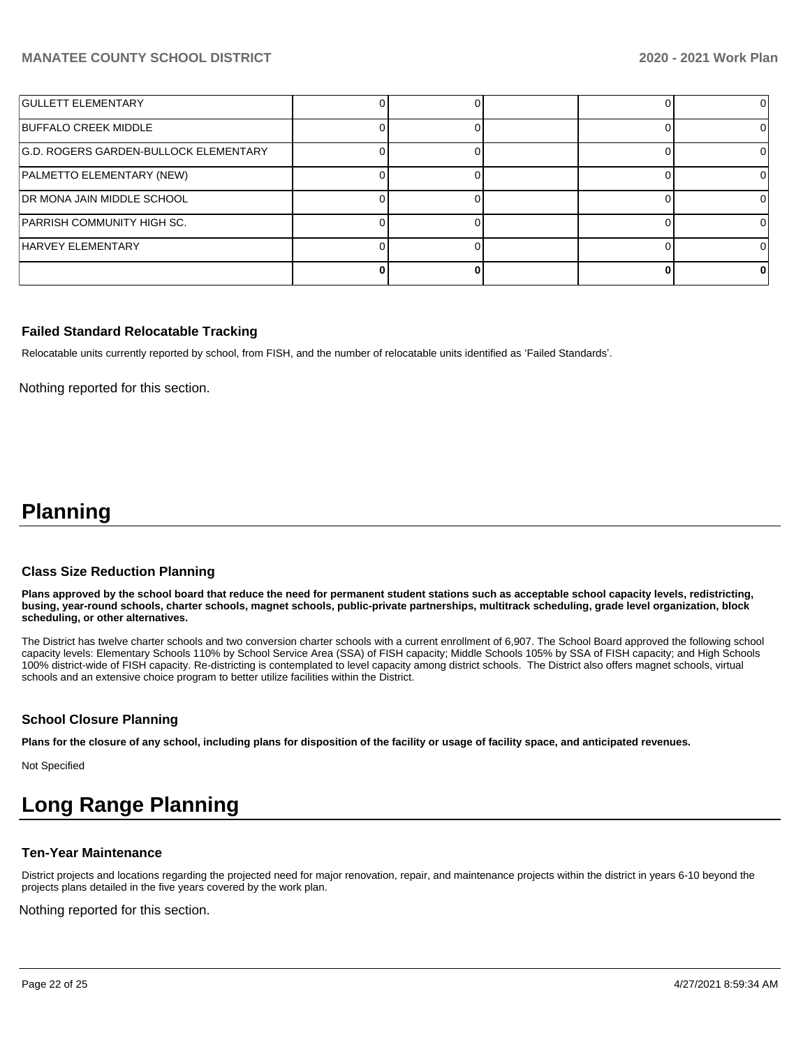| <b>GULLETT ELEMENTARY</b>             |  |  |  |
|---------------------------------------|--|--|--|
| <b>BUFFALO CREEK MIDDLE</b>           |  |  |  |
| G.D. ROGERS GARDEN-BULLOCK ELEMENTARY |  |  |  |
| PALMETTO ELEMENTARY (NEW)             |  |  |  |
| <b>IDR MONA JAIN MIDDLE SCHOOL</b>    |  |  |  |
| PARRISH COMMUNITY HIGH SC.            |  |  |  |
| <b>HARVEY ELEMENTARY</b>              |  |  |  |
|                                       |  |  |  |

### **Failed Standard Relocatable Tracking**

Relocatable units currently reported by school, from FISH, and the number of relocatable units identified as 'Failed Standards'.

Nothing reported for this section.

# **Planning**

#### **Class Size Reduction Planning**

**Plans approved by the school board that reduce the need for permanent student stations such as acceptable school capacity levels, redistricting, busing, year-round schools, charter schools, magnet schools, public-private partnerships, multitrack scheduling, grade level organization, block scheduling, or other alternatives.**

The District has twelve charter schools and two conversion charter schools with a current enrollment of 6,907. The School Board approved the following school capacity levels: Elementary Schools 110% by School Service Area (SSA) of FISH capacity; Middle Schools 105% by SSA of FISH capacity; and High Schools 100% district-wide of FISH capacity. Re-districting is contemplated to level capacity among district schools. The District also offers magnet schools, virtual schools and an extensive choice program to better utilize facilities within the District.

## **School Closure Planning**

**Plans for the closure of any school, including plans for disposition of the facility or usage of facility space, and anticipated revenues.** 

Not Specified

# **Long Range Planning**

#### **Ten-Year Maintenance**

District projects and locations regarding the projected need for major renovation, repair, and maintenance projects within the district in years 6-10 beyond the projects plans detailed in the five years covered by the work plan.

Nothing reported for this section.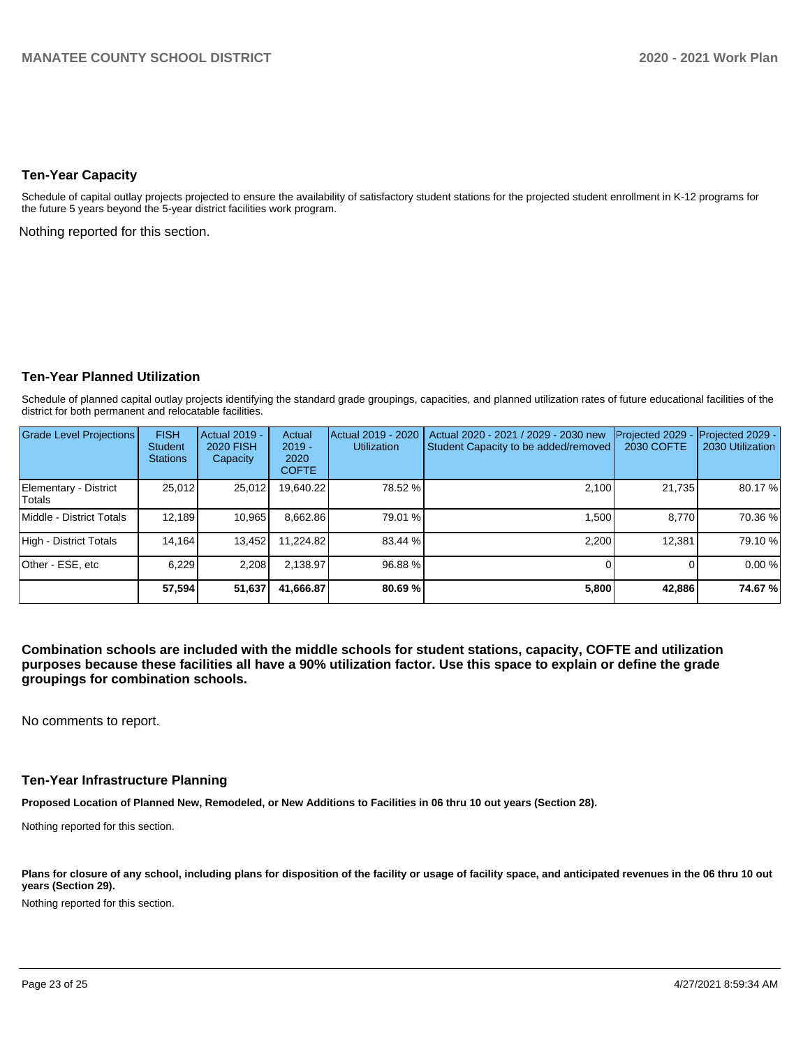### **Ten-Year Capacity**

Schedule of capital outlay projects projected to ensure the availability of satisfactory student stations for the projected student enrollment in K-12 programs for the future 5 years beyond the 5-year district facilities work program.

Nothing reported for this section.

## **Ten-Year Planned Utilization**

Schedule of planned capital outlay projects identifying the standard grade groupings, capacities, and planned utilization rates of future educational facilities of the district for both permanent and relocatable facilities.

| <b>Grade Level Projections</b>         | <b>FISH</b><br><b>Student</b><br><b>Stations</b> | Actual 2019 -<br><b>2020 FISH</b><br>Capacity | Actual<br>$2019 -$<br>2020<br><b>COFTE</b> | Actual 2019 - 2020<br><b>Utilization</b> | Actual 2020 - 2021 / 2029 - 2030 new<br>Student Capacity to be added/removed | Projected 2029<br>2030 COFTE | Projected 2029 -<br>2030 Utilization |
|----------------------------------------|--------------------------------------------------|-----------------------------------------------|--------------------------------------------|------------------------------------------|------------------------------------------------------------------------------|------------------------------|--------------------------------------|
| Elementary - District<br><b>Totals</b> | 25,012                                           | 25,012                                        | 19,640.22                                  | 78.52 %                                  | 2,100                                                                        | 21,735                       | 80.17%                               |
| Middle - District Totals               | 12.189                                           | 10,965                                        | 8,662.86                                   | 79.01 %                                  | 1.500                                                                        | 8.770                        | 70.36 %                              |
| High - District Totals                 | 14.164                                           | 13,452                                        | 11.224.82                                  | 83.44 %                                  | 2,200                                                                        | 12.381                       | 79.10 %                              |
| Other - ESE, etc                       | 6,229                                            | 2,208                                         | 2,138.97                                   | 96.88%                                   |                                                                              |                              | 0.00%                                |
|                                        | 57,594                                           | 51,637                                        | 41.666.87                                  | 80.69 %                                  | 5,800                                                                        | 42,886                       | 74.67%                               |

**Combination schools are included with the middle schools for student stations, capacity, COFTE and utilization purposes because these facilities all have a 90% utilization factor. Use this space to explain or define the grade groupings for combination schools.** 

No comments to report.

### **Ten-Year Infrastructure Planning**

**Proposed Location of Planned New, Remodeled, or New Additions to Facilities in 06 thru 10 out years (Section 28).**

Nothing reported for this section.

Plans for closure of any school, including plans for disposition of the facility or usage of facility space, and anticipated revenues in the 06 thru 10 out **years (Section 29).**

Nothing reported for this section.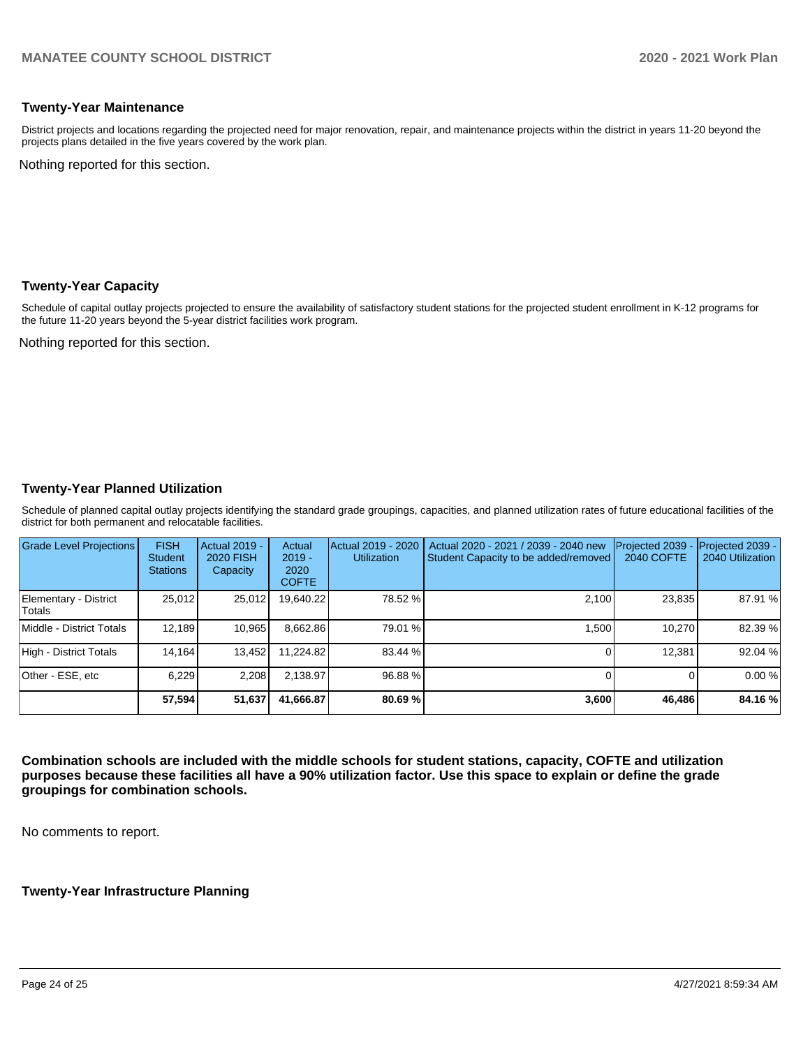## **Twenty-Year Maintenance**

District projects and locations regarding the projected need for major renovation, repair, and maintenance projects within the district in years 11-20 beyond the projects plans detailed in the five years covered by the work plan.

Nothing reported for this section.

### **Twenty-Year Capacity**

Schedule of capital outlay projects projected to ensure the availability of satisfactory student stations for the projected student enrollment in K-12 programs for the future 11-20 years beyond the 5-year district facilities work program.

Nothing reported for this section.

## **Twenty-Year Planned Utilization**

Schedule of planned capital outlay projects identifying the standard grade groupings, capacities, and planned utilization rates of future educational facilities of the district for both permanent and relocatable facilities.

| <b>Grade Level Projections</b>         | <b>FISH</b><br><b>Student</b><br><b>Stations</b> | <b>Actual 2019 -</b><br><b>2020 FISH</b><br>Capacity | Actual<br>$2019 -$<br>2020<br><b>COFTE</b> | Actual 2019 - 2020<br><b>Utilization</b> | Actual 2020 - 2021 / 2039 - 2040 new<br>Student Capacity to be added/removed | Projected 2039<br>2040 COFTE | Projected 2039 -<br>2040 Utilization |
|----------------------------------------|--------------------------------------------------|------------------------------------------------------|--------------------------------------------|------------------------------------------|------------------------------------------------------------------------------|------------------------------|--------------------------------------|
| Elementary - District<br><b>Totals</b> | 25,012                                           | 25,012                                               | 19,640.22                                  | 78.52 %                                  | 2,100                                                                        | 23,835                       | 87.91 %                              |
| Middle - District Totals               | 12.189                                           | 10.965                                               | 8,662.86                                   | 79.01 %                                  | 1.500                                                                        | 10.270                       | 82.39 %                              |
| High - District Totals                 | 14.164                                           | 13,452                                               | 11.224.82                                  | 83.44 %                                  |                                                                              | 12.381                       | 92.04 %                              |
| Other - ESE, etc                       | 6,229                                            | 2,208                                                | 2.138.97                                   | 96.88%                                   |                                                                              |                              | 0.00%                                |
|                                        | 57,594                                           | 51,637                                               | 41.666.87                                  | 80.69%                                   | 3,600                                                                        | 46,486                       | 84.16%                               |

**Combination schools are included with the middle schools for student stations, capacity, COFTE and utilization purposes because these facilities all have a 90% utilization factor. Use this space to explain or define the grade groupings for combination schools.** 

No comments to report.

## **Twenty-Year Infrastructure Planning**